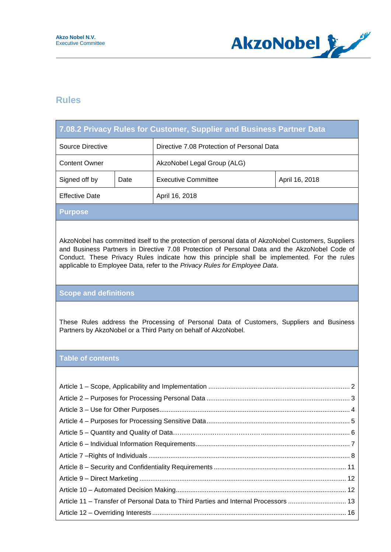

## **Rules**

Г

|                                                                                                                                                                                                                                                                                                                                                                                    | 7.08.2 Privacy Rules for Customer, Supplier and Business Partner Data |                                            |                |  |  |  |
|------------------------------------------------------------------------------------------------------------------------------------------------------------------------------------------------------------------------------------------------------------------------------------------------------------------------------------------------------------------------------------|-----------------------------------------------------------------------|--------------------------------------------|----------------|--|--|--|
| <b>Source Directive</b>                                                                                                                                                                                                                                                                                                                                                            |                                                                       | Directive 7.08 Protection of Personal Data |                |  |  |  |
| <b>Content Owner</b>                                                                                                                                                                                                                                                                                                                                                               |                                                                       | AkzoNobel Legal Group (ALG)                |                |  |  |  |
| Signed off by                                                                                                                                                                                                                                                                                                                                                                      | Date                                                                  | <b>Executive Committee</b>                 | April 16, 2018 |  |  |  |
| <b>Effective Date</b>                                                                                                                                                                                                                                                                                                                                                              |                                                                       | April 16, 2018                             |                |  |  |  |
| <b>Purpose</b>                                                                                                                                                                                                                                                                                                                                                                     |                                                                       |                                            |                |  |  |  |
| AkzoNobel has committed itself to the protection of personal data of AkzoNobel Customers, Suppliers<br>and Business Partners in Directive 7.08 Protection of Personal Data and the AkzoNobel Code of<br>Conduct. These Privacy Rules indicate how this principle shall be implemented. For the rules<br>applicable to Employee Data, refer to the Privacy Rules for Employee Data. |                                                                       |                                            |                |  |  |  |
| <b>Scope and definitions</b>                                                                                                                                                                                                                                                                                                                                                       |                                                                       |                                            |                |  |  |  |
| These Rules address the Processing of Personal Data of Customers, Suppliers and Business<br>Partners by AkzoNobel or a Third Party on behalf of AkzoNobel.                                                                                                                                                                                                                         |                                                                       |                                            |                |  |  |  |
| <b>Table of contents</b>                                                                                                                                                                                                                                                                                                                                                           |                                                                       |                                            |                |  |  |  |
| Article 11 - Transfer of Personal Data to Third Parties and Internal Processors  13                                                                                                                                                                                                                                                                                                |                                                                       |                                            |                |  |  |  |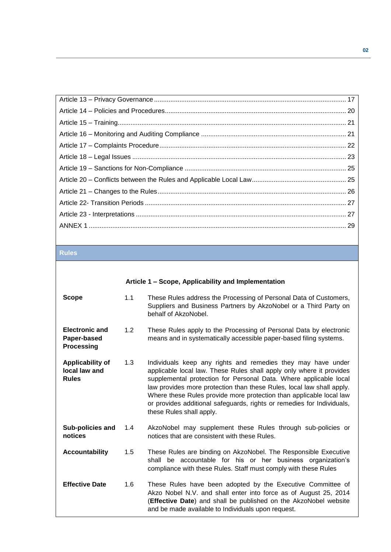| <u> 1988 - Ann an Dùbhlachd ann an Dùbhlachd ann an Dùbhlachd ann an Dùbhlachd ann an Dùbhlachd ann an Dùbhlachd </u> |  |
|-----------------------------------------------------------------------------------------------------------------------|--|
|                                                                                                                       |  |
|                                                                                                                       |  |
|                                                                                                                       |  |
|                                                                                                                       |  |
|                                                                                                                       |  |
|                                                                                                                       |  |
|                                                                                                                       |  |
|                                                                                                                       |  |
|                                                                                                                       |  |
|                                                                                                                       |  |
|                                                                                                                       |  |
|                                                                                                                       |  |
|                                                                                                                       |  |

## **Rules**

<span id="page-1-0"></span>

|                                                           |     | Article 1 – Scope, Applicability and Implementation                                                                                                                                                                                                                                                                                                                                                                                                             |  |  |  |
|-----------------------------------------------------------|-----|-----------------------------------------------------------------------------------------------------------------------------------------------------------------------------------------------------------------------------------------------------------------------------------------------------------------------------------------------------------------------------------------------------------------------------------------------------------------|--|--|--|
| Scope                                                     | 1.1 | These Rules address the Processing of Personal Data of Customers,<br>Suppliers and Business Partners by AkzoNobel or a Third Party on<br>behalf of AkzoNobel.                                                                                                                                                                                                                                                                                                   |  |  |  |
| <b>Electronic and</b><br>Paper-based<br><b>Processing</b> | 1.2 | These Rules apply to the Processing of Personal Data by electronic<br>means and in systematically accessible paper-based filing systems.                                                                                                                                                                                                                                                                                                                        |  |  |  |
| Applicability of<br>local law and<br><b>Rules</b>         | 1.3 | Individuals keep any rights and remedies they may have under<br>applicable local law. These Rules shall apply only where it provides<br>supplemental protection for Personal Data. Where applicable local<br>law provides more protection than these Rules, local law shall apply.<br>Where these Rules provide more protection than applicable local law<br>or provides additional safeguards, rights or remedies for Individuals,<br>these Rules shall apply. |  |  |  |
| Sub-policies and<br>notices                               | 1.4 | AkzoNobel may supplement these Rules through sub-policies or<br>notices that are consistent with these Rules.                                                                                                                                                                                                                                                                                                                                                   |  |  |  |
| <b>Accountability</b>                                     | 1.5 | These Rules are binding on AkzoNobel. The Responsible Executive<br>shall be accountable for his or her business organization's<br>compliance with these Rules. Staff must comply with these Rules                                                                                                                                                                                                                                                               |  |  |  |
| <b>Effective Date</b>                                     | 1.6 | These Rules have been adopted by the Executive Committee of<br>Akzo Nobel N.V. and shall enter into force as of August 25, 2014<br>(Effective Date) and shall be published on the AkzoNobel website<br>and be made available to Individuals upon request.                                                                                                                                                                                                       |  |  |  |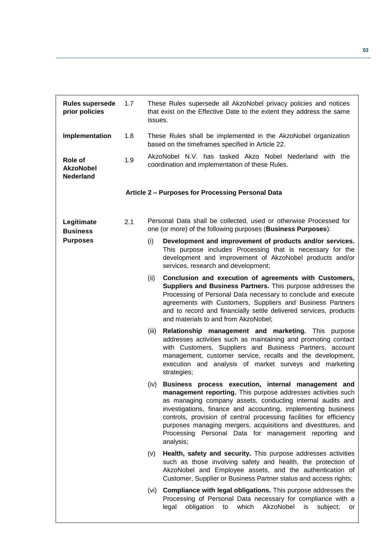<span id="page-2-0"></span>

| <b>Rules supersede</b><br>prior policies        | 1.7 | issues. | These Rules supersede all AkzoNobel privacy policies and notices<br>that exist on the Effective Date to the extent they address the same                                                                                                                                                                                                                                                                                                                            |
|-------------------------------------------------|-----|---------|---------------------------------------------------------------------------------------------------------------------------------------------------------------------------------------------------------------------------------------------------------------------------------------------------------------------------------------------------------------------------------------------------------------------------------------------------------------------|
| Implementation                                  | 1.8 |         | These Rules shall be implemented in the AkzoNobel organization<br>based on the timeframes specified in Article 22.                                                                                                                                                                                                                                                                                                                                                  |
| Role of<br><b>AkzoNobel</b><br><b>Nederland</b> | 1.9 |         | AkzoNobel N.V. has tasked Akzo Nobel Nederland with the<br>coordination and implementation of these Rules.                                                                                                                                                                                                                                                                                                                                                          |
|                                                 |     |         | Article 2 - Purposes for Processing Personal Data                                                                                                                                                                                                                                                                                                                                                                                                                   |
| Legitimate<br><b>Business</b>                   | 2.1 |         | Personal Data shall be collected, used or otherwise Processed for<br>one (or more) of the following purposes (Business Purposes):                                                                                                                                                                                                                                                                                                                                   |
| <b>Purposes</b>                                 |     | (i)     | Development and improvement of products and/or services.<br>This purpose includes Processing that is necessary for the<br>development and improvement of AkzoNobel products and/or<br>services, research and development;                                                                                                                                                                                                                                           |
|                                                 |     | (ii)    | Conclusion and execution of agreements with Customers,<br>Suppliers and Business Partners. This purpose addresses the<br>Processing of Personal Data necessary to conclude and execute<br>agreements with Customers, Suppliers and Business Partners<br>and to record and financially settle delivered services, products<br>and materials to and from AkzoNobel;                                                                                                   |
|                                                 |     | (iii)   | Relationship management and marketing. This purpose<br>addresses activities such as maintaining and promoting contact<br>with Customers, Suppliers and Business Partners, account<br>management, customer service, recalls and the development,<br>execution and analysis of market surveys and marketing<br>strategies;                                                                                                                                            |
|                                                 |     | (iv)    | Business process execution, internal management and<br>management reporting. This purpose addresses activities such<br>as managing company assets, conducting internal audits and<br>investigations, finance and accounting, implementing business<br>controls, provision of central processing facilities for efficiency<br>purposes managing mergers, acquisitions and divestitures, and<br>Processing Personal Data for management reporting<br>and<br>analysis; |
|                                                 |     | (v)     | Health, safety and security. This purpose addresses activities<br>such as those involving safety and health, the protection of<br>AkzoNobel and Employee assets, and the authentication of<br>Customer, Supplier or Business Partner status and access rights;                                                                                                                                                                                                      |
|                                                 |     | (vi)    | <b>Compliance with legal obligations.</b> This purpose addresses the<br>Processing of Personal Data necessary for compliance with a<br>obligation<br>which<br>AkzoNobel<br>legal<br>to<br>subject;<br>is<br>or                                                                                                                                                                                                                                                      |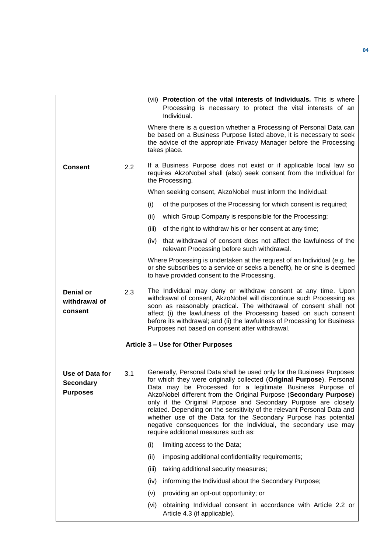<span id="page-3-0"></span>

|                                                        |     | (vii) Protection of the vital interests of Individuals. This is where<br>Processing is necessary to protect the vital interests of an<br>Individual.                                                                                                                                                                                                                                                                                                                                                                                                                                                         |  |
|--------------------------------------------------------|-----|--------------------------------------------------------------------------------------------------------------------------------------------------------------------------------------------------------------------------------------------------------------------------------------------------------------------------------------------------------------------------------------------------------------------------------------------------------------------------------------------------------------------------------------------------------------------------------------------------------------|--|
|                                                        |     | Where there is a question whether a Processing of Personal Data can<br>be based on a Business Purpose listed above, it is necessary to seek<br>the advice of the appropriate Privacy Manager before the Processing<br>takes place.                                                                                                                                                                                                                                                                                                                                                                           |  |
| <b>Consent</b>                                         | 2.2 | If a Business Purpose does not exist or if applicable local law so<br>requires AkzoNobel shall (also) seek consent from the Individual for<br>the Processing.                                                                                                                                                                                                                                                                                                                                                                                                                                                |  |
|                                                        |     | When seeking consent, AkzoNobel must inform the Individual:                                                                                                                                                                                                                                                                                                                                                                                                                                                                                                                                                  |  |
|                                                        |     | (i)<br>of the purposes of the Processing for which consent is required;                                                                                                                                                                                                                                                                                                                                                                                                                                                                                                                                      |  |
|                                                        |     | which Group Company is responsible for the Processing;<br>(ii)                                                                                                                                                                                                                                                                                                                                                                                                                                                                                                                                               |  |
|                                                        |     | of the right to withdraw his or her consent at any time;<br>(iii)                                                                                                                                                                                                                                                                                                                                                                                                                                                                                                                                            |  |
|                                                        |     | that withdrawal of consent does not affect the lawfulness of the<br>(iv)<br>relevant Processing before such withdrawal.                                                                                                                                                                                                                                                                                                                                                                                                                                                                                      |  |
|                                                        |     | Where Processing is undertaken at the request of an Individual (e.g. he<br>or she subscribes to a service or seeks a benefit), he or she is deemed<br>to have provided consent to the Processing.                                                                                                                                                                                                                                                                                                                                                                                                            |  |
| <b>Denial or</b><br>withdrawal of<br>consent           | 2.3 | The Individual may deny or withdraw consent at any time. Upon<br>withdrawal of consent, AkzoNobel will discontinue such Processing as<br>soon as reasonably practical. The withdrawal of consent shall not<br>affect (i) the lawfulness of the Processing based on such consent<br>before its withdrawal; and (ii) the lawfulness of Processing for Business<br>Purposes not based on consent after withdrawal.                                                                                                                                                                                              |  |
|                                                        |     | Article 3 - Use for Other Purposes                                                                                                                                                                                                                                                                                                                                                                                                                                                                                                                                                                           |  |
| Use of Data for<br><b>Secondary</b><br><b>Purposes</b> | 3.1 | Generally, Personal Data shall be used only for the Business Purposes<br>for which they were originally collected (Original Purpose). Personal<br>Data may be Processed for a legitimate Business Purpose of<br>AkzoNobel different from the Original Purpose (Secondary Purpose)<br>only if the Original Purpose and Secondary Purpose are closely<br>related. Depending on the sensitivity of the relevant Personal Data and<br>whether use of the Data for the Secondary Purpose has potential<br>negative consequences for the Individual, the secondary use may<br>require additional measures such as: |  |
|                                                        |     | (i)<br>limiting access to the Data;                                                                                                                                                                                                                                                                                                                                                                                                                                                                                                                                                                          |  |
|                                                        |     | imposing additional confidentiality requirements;<br>(ii)                                                                                                                                                                                                                                                                                                                                                                                                                                                                                                                                                    |  |
|                                                        |     | taking additional security measures;<br>(iii)                                                                                                                                                                                                                                                                                                                                                                                                                                                                                                                                                                |  |
|                                                        |     | informing the Individual about the Secondary Purpose;<br>(iv)                                                                                                                                                                                                                                                                                                                                                                                                                                                                                                                                                |  |
|                                                        |     | providing an opt-out opportunity; or<br>(v)                                                                                                                                                                                                                                                                                                                                                                                                                                                                                                                                                                  |  |
|                                                        |     | obtaining Individual consent in accordance with Article 2.2 or<br>(vi)<br>Article 4.3 (if applicable).                                                                                                                                                                                                                                                                                                                                                                                                                                                                                                       |  |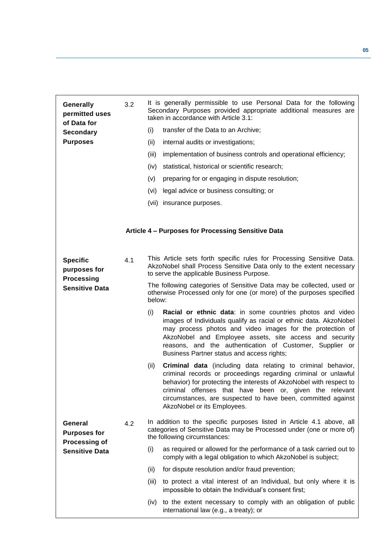<span id="page-4-0"></span>

| Generally<br>permitted uses<br>of Data for           | 3.2 |        | It is generally permissible to use Personal Data for the following<br>Secondary Purposes provided appropriate additional measures are<br>taken in accordance with Article 3.1:                                                                                                                                                                                         |
|------------------------------------------------------|-----|--------|------------------------------------------------------------------------------------------------------------------------------------------------------------------------------------------------------------------------------------------------------------------------------------------------------------------------------------------------------------------------|
| <b>Secondary</b>                                     |     | (i)    | transfer of the Data to an Archive;                                                                                                                                                                                                                                                                                                                                    |
| <b>Purposes</b>                                      |     | (ii)   | internal audits or investigations;                                                                                                                                                                                                                                                                                                                                     |
|                                                      |     | (iii)  | implementation of business controls and operational efficiency;                                                                                                                                                                                                                                                                                                        |
|                                                      |     | (iv)   | statistical, historical or scientific research;                                                                                                                                                                                                                                                                                                                        |
|                                                      |     | (v)    | preparing for or engaging in dispute resolution;                                                                                                                                                                                                                                                                                                                       |
|                                                      |     | (vi)   | legal advice or business consulting; or                                                                                                                                                                                                                                                                                                                                |
|                                                      |     |        | (vii) insurance purposes.                                                                                                                                                                                                                                                                                                                                              |
|                                                      |     |        | Article 4 - Purposes for Processing Sensitive Data                                                                                                                                                                                                                                                                                                                     |
| <b>Specific</b><br>purposes for<br><b>Processing</b> | 4.1 |        | This Article sets forth specific rules for Processing Sensitive Data.<br>AkzoNobel shall Process Sensitive Data only to the extent necessary<br>to serve the applicable Business Purpose.                                                                                                                                                                              |
| <b>Sensitive Data</b>                                |     | below: | The following categories of Sensitive Data may be collected, used or<br>otherwise Processed only for one (or more) of the purposes specified                                                                                                                                                                                                                           |
|                                                      |     | (i)    | Racial or ethnic data: in some countries photos and video<br>images of Individuals qualify as racial or ethnic data. AkzoNobel<br>may process photos and video images for the protection of<br>AkzoNobel and Employee assets, site access and security<br>reasons, and the authentication of Customer, Supplier or<br>Business Partner status and access rights;       |
|                                                      |     | (ii)   | <b>Criminal data</b> (including data relating to criminal behavior,<br>criminal records or proceedings regarding criminal or unlawful<br>behavior) for protecting the interests of AkzoNobel with respect to<br>criminal offenses that have been or, given the relevant<br>circumstances, are suspected to have been, committed against<br>AkzoNobel or its Employees. |
| General<br><b>Purposes for</b>                       | 4.2 |        | In addition to the specific purposes listed in Article 4.1 above, all<br>categories of Sensitive Data may be Processed under (one or more of)<br>the following circumstances:                                                                                                                                                                                          |
| <b>Processing of</b><br><b>Sensitive Data</b>        |     | (i)    | as required or allowed for the performance of a task carried out to<br>comply with a legal obligation to which AkzoNobel is subject;                                                                                                                                                                                                                                   |
|                                                      |     | (ii)   | for dispute resolution and/or fraud prevention;                                                                                                                                                                                                                                                                                                                        |
|                                                      |     | (iii)  | to protect a vital interest of an Individual, but only where it is<br>impossible to obtain the Individual's consent first;                                                                                                                                                                                                                                             |
|                                                      |     | (iv)   | to the extent necessary to comply with an obligation of public<br>international law (e.g., a treaty); or                                                                                                                                                                                                                                                               |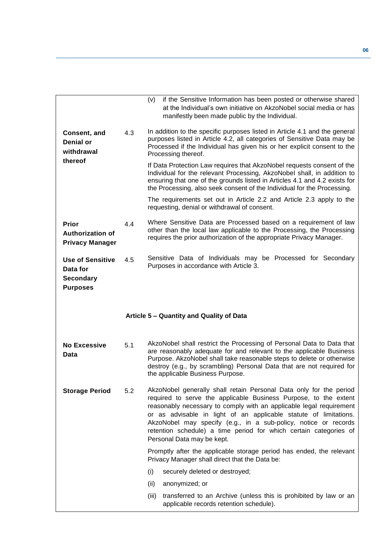<span id="page-5-0"></span>

|     | if the Sensitive Information has been posted or otherwise shared<br>(V)<br>at the Individual's own initiative on AkzoNobel social media or has<br>manifestly been made public by the Individual.                                                                                                                                                                                                                                                         |
|-----|----------------------------------------------------------------------------------------------------------------------------------------------------------------------------------------------------------------------------------------------------------------------------------------------------------------------------------------------------------------------------------------------------------------------------------------------------------|
| 4.3 | In addition to the specific purposes listed in Article 4.1 and the general<br>purposes listed in Article 4.2, all categories of Sensitive Data may be<br>Processed if the Individual has given his or her explicit consent to the<br>Processing thereof.                                                                                                                                                                                                 |
|     | If Data Protection Law requires that AkzoNobel requests consent of the<br>Individual for the relevant Processing, AkzoNobel shall, in addition to<br>ensuring that one of the grounds listed in Articles 4.1 and 4.2 exists for<br>the Processing, also seek consent of the Individual for the Processing.                                                                                                                                               |
|     | The requirements set out in Article 2.2 and Article 2.3 apply to the<br>requesting, denial or withdrawal of consent.                                                                                                                                                                                                                                                                                                                                     |
| 4.4 | Where Sensitive Data are Processed based on a requirement of law<br>other than the local law applicable to the Processing, the Processing<br>requires the prior authorization of the appropriate Privacy Manager.                                                                                                                                                                                                                                        |
| 4.5 | Sensitive Data of Individuals may be Processed for Secondary<br>Purposes in accordance with Article 3.                                                                                                                                                                                                                                                                                                                                                   |
|     | Article 5 - Quantity and Quality of Data                                                                                                                                                                                                                                                                                                                                                                                                                 |
| 5.1 | AkzoNobel shall restrict the Processing of Personal Data to Data that<br>are reasonably adequate for and relevant to the applicable Business<br>Purpose. AkzoNobel shall take reasonable steps to delete or otherwise<br>destroy (e.g., by scrambling) Personal Data that are not required for<br>the applicable Business Purpose.                                                                                                                       |
| 5.2 |                                                                                                                                                                                                                                                                                                                                                                                                                                                          |
|     | AkzoNobel generally shall retain Personal Data only for the period<br>required to serve the applicable Business Purpose, to the extent<br>reasonably necessary to comply with an applicable legal requirement<br>or as advisable in light of an applicable statute of limitations.<br>AkzoNobel may specify (e.g., in a sub-policy, notice or records<br>retention schedule) a time period for which certain categories of<br>Personal Data may be kept. |
|     | Promptly after the applicable storage period has ended, the relevant<br>Privacy Manager shall direct that the Data be:                                                                                                                                                                                                                                                                                                                                   |
|     | (i)<br>securely deleted or destroyed;                                                                                                                                                                                                                                                                                                                                                                                                                    |
|     | (ii)<br>anonymized; or                                                                                                                                                                                                                                                                                                                                                                                                                                   |
|     |                                                                                                                                                                                                                                                                                                                                                                                                                                                          |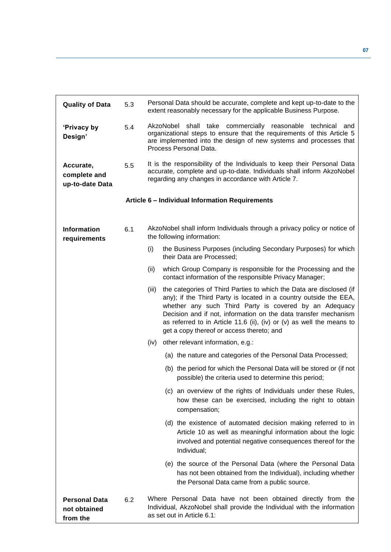<span id="page-6-0"></span>

| <b>Quality of Data</b>                           | 5.3 | Personal Data should be accurate, complete and kept up-to-date to the<br>extent reasonably necessary for the applicable Business Purpose.                                                                                                                                                                                                                                                            |
|--------------------------------------------------|-----|------------------------------------------------------------------------------------------------------------------------------------------------------------------------------------------------------------------------------------------------------------------------------------------------------------------------------------------------------------------------------------------------------|
| 'Privacy by<br>Design'                           | 5.4 | shall take commercially reasonable technical and<br>AkzoNobel<br>organizational steps to ensure that the requirements of this Article 5<br>are implemented into the design of new systems and processes that<br>Process Personal Data.                                                                                                                                                               |
| Accurate,<br>complete and<br>up-to-date Data     | 5.5 | It is the responsibility of the Individuals to keep their Personal Data<br>accurate, complete and up-to-date. Individuals shall inform AkzoNobel<br>regarding any changes in accordance with Article 7.                                                                                                                                                                                              |
|                                                  |     | Article 6 - Individual Information Requirements                                                                                                                                                                                                                                                                                                                                                      |
| <b>Information</b><br>requirements               | 6.1 | AkzoNobel shall inform Individuals through a privacy policy or notice of<br>the following information:                                                                                                                                                                                                                                                                                               |
|                                                  |     | (i)<br>the Business Purposes (including Secondary Purposes) for which<br>their Data are Processed;                                                                                                                                                                                                                                                                                                   |
|                                                  |     | which Group Company is responsible for the Processing and the<br>(ii)<br>contact information of the responsible Privacy Manager;                                                                                                                                                                                                                                                                     |
|                                                  |     | the categories of Third Parties to which the Data are disclosed (if<br>(iii)<br>any); if the Third Party is located in a country outside the EEA,<br>whether any such Third Party is covered by an Adequacy<br>Decision and if not, information on the data transfer mechanism<br>as referred to in Article 11.6 (ii), (iv) or (v) as well the means to<br>get a copy thereof or access thereto; and |
|                                                  |     | other relevant information, e.g.:<br>(iv)                                                                                                                                                                                                                                                                                                                                                            |
|                                                  |     | (a) the nature and categories of the Personal Data Processed;                                                                                                                                                                                                                                                                                                                                        |
|                                                  |     | (b) the period for which the Personal Data will be stored or (if not<br>possible) the criteria used to determine this period;                                                                                                                                                                                                                                                                        |
|                                                  |     | (c) an overview of the rights of Individuals under these Rules,<br>how these can be exercised, including the right to obtain<br>compensation;                                                                                                                                                                                                                                                        |
|                                                  |     | (d) the existence of automated decision making referred to in<br>Article 10 as well as meaningful information about the logic<br>involved and potential negative consequences thereof for the<br>Individual;                                                                                                                                                                                         |
|                                                  |     | (e) the source of the Personal Data (where the Personal Data<br>has not been obtained from the Individual), including whether<br>the Personal Data came from a public source.                                                                                                                                                                                                                        |
| <b>Personal Data</b><br>not obtained<br>from the | 6.2 | Where Personal Data have not been obtained directly from the<br>Individual, AkzoNobel shall provide the Individual with the information<br>as set out in Article 6.1:                                                                                                                                                                                                                                |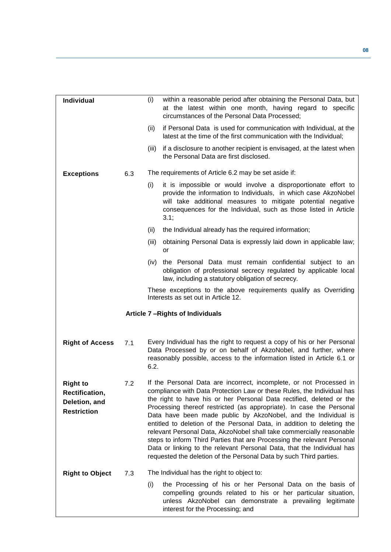<span id="page-7-0"></span>

| Individual                                                               |     | (i)   | within a reasonable period after obtaining the Personal Data, but<br>at the latest within one month, having regard to specific<br>circumstances of the Personal Data Processed:                                                                                                                                                                                                                                                                                                                                                                                                                                                                                                                                                              |
|--------------------------------------------------------------------------|-----|-------|----------------------------------------------------------------------------------------------------------------------------------------------------------------------------------------------------------------------------------------------------------------------------------------------------------------------------------------------------------------------------------------------------------------------------------------------------------------------------------------------------------------------------------------------------------------------------------------------------------------------------------------------------------------------------------------------------------------------------------------------|
|                                                                          |     | (ii)  | if Personal Data is used for communication with Individual, at the<br>latest at the time of the first communication with the Individual;                                                                                                                                                                                                                                                                                                                                                                                                                                                                                                                                                                                                     |
|                                                                          |     | (iii) | if a disclosure to another recipient is envisaged, at the latest when<br>the Personal Data are first disclosed.                                                                                                                                                                                                                                                                                                                                                                                                                                                                                                                                                                                                                              |
| <b>Exceptions</b>                                                        | 6.3 |       | The requirements of Article 6.2 may be set aside if:                                                                                                                                                                                                                                                                                                                                                                                                                                                                                                                                                                                                                                                                                         |
|                                                                          |     | (i)   | it is impossible or would involve a disproportionate effort to<br>provide the information to Individuals, in which case AkzoNobel<br>will take additional measures to mitigate potential negative<br>consequences for the Individual, such as those listed in Article<br>3.1;                                                                                                                                                                                                                                                                                                                                                                                                                                                                |
|                                                                          |     | (ii)  | the Individual already has the required information;                                                                                                                                                                                                                                                                                                                                                                                                                                                                                                                                                                                                                                                                                         |
|                                                                          |     | (iii) | obtaining Personal Data is expressly laid down in applicable law;<br>or                                                                                                                                                                                                                                                                                                                                                                                                                                                                                                                                                                                                                                                                      |
|                                                                          |     | (iv)  | the Personal Data must remain confidential subject to an<br>obligation of professional secrecy regulated by applicable local<br>law, including a statutory obligation of secrecy.                                                                                                                                                                                                                                                                                                                                                                                                                                                                                                                                                            |
|                                                                          |     |       | These exceptions to the above requirements qualify as Overriding<br>Interests as set out in Article 12.                                                                                                                                                                                                                                                                                                                                                                                                                                                                                                                                                                                                                                      |
|                                                                          |     |       | Article 7-Rights of Individuals                                                                                                                                                                                                                                                                                                                                                                                                                                                                                                                                                                                                                                                                                                              |
|                                                                          |     |       |                                                                                                                                                                                                                                                                                                                                                                                                                                                                                                                                                                                                                                                                                                                                              |
| <b>Right of Access</b>                                                   | 7.1 | 6.2.  | Every Individual has the right to request a copy of his or her Personal<br>Data Processed by or on behalf of AkzoNobel, and further, where<br>reasonably possible, access to the information listed in Article 6.1 or                                                                                                                                                                                                                                                                                                                                                                                                                                                                                                                        |
| <b>Right to</b><br>Rectification,<br>Deletion, and<br><b>Restriction</b> | 7.2 |       | If the Personal Data are incorrect, incomplete, or not Processed in<br>compliance with Data Protection Law or these Rules, the Individual has<br>the right to have his or her Personal Data rectified, deleted or the<br>Processing thereof restricted (as appropriate). In case the Personal<br>Data have been made public by AkzoNobel, and the Individual is<br>entitled to deletion of the Personal Data, in addition to deleting the<br>relevant Personal Data, AkzoNobel shall take commercially reasonable<br>steps to inform Third Parties that are Processing the relevant Personal<br>Data or linking to the relevant Personal Data, that the Individual has<br>requested the deletion of the Personal Data by such Third parties. |
| <b>Right to Object</b>                                                   | 7.3 |       | The Individual has the right to object to:                                                                                                                                                                                                                                                                                                                                                                                                                                                                                                                                                                                                                                                                                                   |
|                                                                          |     | (i)   | the Processing of his or her Personal Data on the basis of<br>compelling grounds related to his or her particular situation,<br>unless AkzoNobel can demonstrate a prevailing legitimate<br>interest for the Processing; and                                                                                                                                                                                                                                                                                                                                                                                                                                                                                                                 |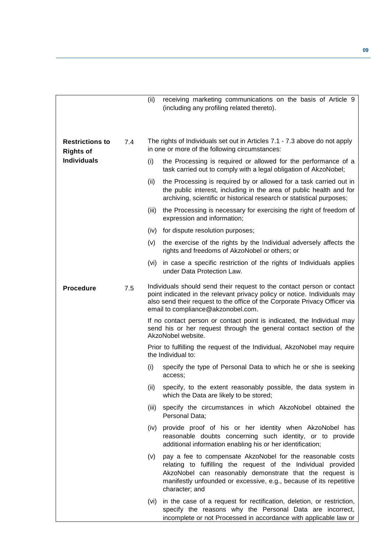|                                            |     | (ii)  | receiving marketing communications on the basis of Article 9<br>(including any profiling related thereto).                                                                                                                                                                      |
|--------------------------------------------|-----|-------|---------------------------------------------------------------------------------------------------------------------------------------------------------------------------------------------------------------------------------------------------------------------------------|
| <b>Restrictions to</b><br><b>Rights of</b> | 7.4 |       | The rights of Individuals set out in Articles 7.1 - 7.3 above do not apply<br>in one or more of the following circumstances:                                                                                                                                                    |
| <b>Individuals</b>                         |     | (i)   | the Processing is required or allowed for the performance of a<br>task carried out to comply with a legal obligation of AkzoNobel;                                                                                                                                              |
|                                            |     | (ii)  | the Processing is required by or allowed for a task carried out in<br>the public interest, including in the area of public health and for<br>archiving, scientific or historical research or statistical purposes;                                                              |
|                                            |     | (iii) | the Processing is necessary for exercising the right of freedom of<br>expression and information;                                                                                                                                                                               |
|                                            |     | (iv)  | for dispute resolution purposes;                                                                                                                                                                                                                                                |
|                                            |     | (v)   | the exercise of the rights by the Individual adversely affects the<br>rights and freedoms of AkzoNobel or others; or                                                                                                                                                            |
|                                            |     | (vi)  | in case a specific restriction of the rights of Individuals applies<br>under Data Protection Law.                                                                                                                                                                               |
| <b>Procedure</b>                           | 7.5 |       | Individuals should send their request to the contact person or contact<br>point indicated in the relevant privacy policy or notice. Individuals may<br>also send their request to the office of the Corporate Privacy Officer via<br>email to compliance@akzonobel.com.         |
|                                            |     |       | If no contact person or contact point is indicated, the Individual may<br>send his or her request through the general contact section of the<br>AkzoNobel website.                                                                                                              |
|                                            |     |       | Prior to fulfilling the request of the Individual, AkzoNobel may require<br>the Individual to:                                                                                                                                                                                  |
|                                            |     | (i)   | specify the type of Personal Data to which he or she is seeking<br>access;                                                                                                                                                                                                      |
|                                            |     |       | (ii) specify, to the extent reasonably possible, the data system in<br>which the Data are likely to be stored;                                                                                                                                                                  |
|                                            |     | (iii) | specify the circumstances in which AkzoNobel obtained the<br>Personal Data;                                                                                                                                                                                                     |
|                                            |     | (iv)  | provide proof of his or her identity when AkzoNobel has<br>reasonable doubts concerning such identity, or to provide<br>additional information enabling his or her identification;                                                                                              |
|                                            |     | (v)   | pay a fee to compensate AkzoNobel for the reasonable costs<br>relating to fulfilling the request of the Individual provided<br>AkzoNobel can reasonably demonstrate that the request is<br>manifestly unfounded or excessive, e.g., because of its repetitive<br>character; and |
|                                            |     |       | (vi) in the case of a request for rectification, deletion, or restriction,<br>specify the reasons why the Personal Data are incorrect,<br>incomplete or not Processed in accordance with applicable law or                                                                      |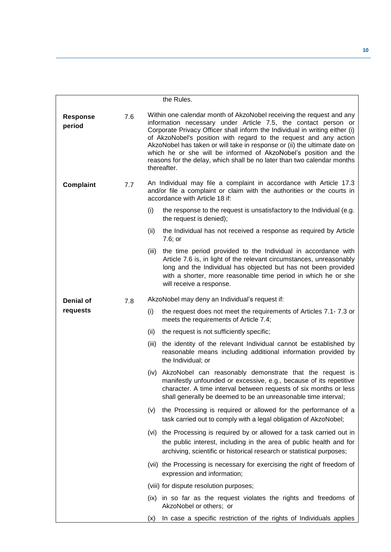|                           |     |       | the Rules.                                                                                                                                                                                                                                                                                                                                                                                                                                                                                                                            |
|---------------------------|-----|-------|---------------------------------------------------------------------------------------------------------------------------------------------------------------------------------------------------------------------------------------------------------------------------------------------------------------------------------------------------------------------------------------------------------------------------------------------------------------------------------------------------------------------------------------|
| <b>Response</b><br>period | 7.6 |       | Within one calendar month of AkzoNobel receiving the request and any<br>information necessary under Article 7.5, the contact person or<br>Corporate Privacy Officer shall inform the Individual in writing either (i)<br>of AkzoNobel's position with regard to the request and any action<br>AkzoNobel has taken or will take in response or (ii) the ultimate date on<br>which he or she will be informed of AkzoNobel's position and the<br>reasons for the delay, which shall be no later than two calendar months<br>thereafter. |
| <b>Complaint</b>          | 7.7 |       | An Individual may file a complaint in accordance with Article 17.3<br>and/or file a complaint or claim with the authorities or the courts in<br>accordance with Article 18 if:                                                                                                                                                                                                                                                                                                                                                        |
|                           |     | (i)   | the response to the request is unsatisfactory to the Individual (e.g.<br>the request is denied);                                                                                                                                                                                                                                                                                                                                                                                                                                      |
|                           |     | (ii)  | the Individual has not received a response as required by Article<br>7.6; or                                                                                                                                                                                                                                                                                                                                                                                                                                                          |
|                           |     | (iii) | the time period provided to the Individual in accordance with<br>Article 7.6 is, in light of the relevant circumstances, unreasonably<br>long and the Individual has objected but has not been provided<br>with a shorter, more reasonable time period in which he or she<br>will receive a response.                                                                                                                                                                                                                                 |
| <b>Denial of</b>          | 7.8 |       | AkzoNobel may deny an Individual's request if:                                                                                                                                                                                                                                                                                                                                                                                                                                                                                        |
| requests                  |     | (i)   | the request does not meet the requirements of Articles 7.1-7.3 or<br>meets the requirements of Article 7.4;                                                                                                                                                                                                                                                                                                                                                                                                                           |
|                           |     | (ii)  | the request is not sufficiently specific;                                                                                                                                                                                                                                                                                                                                                                                                                                                                                             |
|                           |     | (iii) | the identity of the relevant Individual cannot be established by<br>reasonable means including additional information provided by<br>the Individual; or                                                                                                                                                                                                                                                                                                                                                                               |
|                           |     | (iv)  | AkzoNobel can reasonably demonstrate that the request is<br>manifestly unfounded or excessive, e.g., because of its repetitive<br>character. A time interval between requests of six months or less<br>shall generally be deemed to be an unreasonable time interval;                                                                                                                                                                                                                                                                 |
|                           |     | (V)   | the Processing is required or allowed for the performance of a<br>task carried out to comply with a legal obligation of AkzoNobel;                                                                                                                                                                                                                                                                                                                                                                                                    |
|                           |     |       | (vi) the Processing is required by or allowed for a task carried out in<br>the public interest, including in the area of public health and for<br>archiving, scientific or historical research or statistical purposes;                                                                                                                                                                                                                                                                                                               |
|                           |     |       | (vii) the Processing is necessary for exercising the right of freedom of<br>expression and information;                                                                                                                                                                                                                                                                                                                                                                                                                               |
|                           |     |       | (viii) for dispute resolution purposes;                                                                                                                                                                                                                                                                                                                                                                                                                                                                                               |
|                           |     |       | (ix) in so far as the request violates the rights and freedoms of<br>AkzoNobel or others; or                                                                                                                                                                                                                                                                                                                                                                                                                                          |
|                           |     | (x)   | In case a specific restriction of the rights of Individuals applies                                                                                                                                                                                                                                                                                                                                                                                                                                                                   |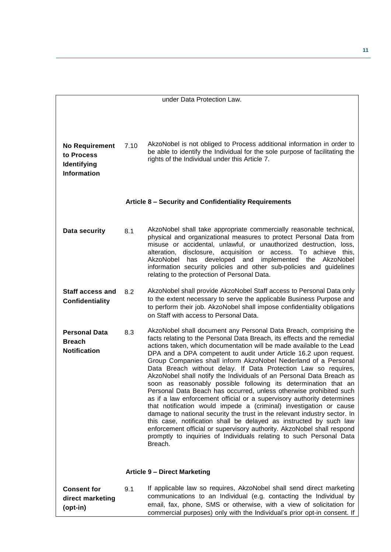<span id="page-10-1"></span><span id="page-10-0"></span>

| under Data Protection Law.                                               |      |                                                                                                                                                                                                                                                                                                                                                                                                                                                                                                                                                                                                                                                                                                                                                                                                                                                                                                                                                                                                                                                                                                                 |  |  |  |
|--------------------------------------------------------------------------|------|-----------------------------------------------------------------------------------------------------------------------------------------------------------------------------------------------------------------------------------------------------------------------------------------------------------------------------------------------------------------------------------------------------------------------------------------------------------------------------------------------------------------------------------------------------------------------------------------------------------------------------------------------------------------------------------------------------------------------------------------------------------------------------------------------------------------------------------------------------------------------------------------------------------------------------------------------------------------------------------------------------------------------------------------------------------------------------------------------------------------|--|--|--|
| <b>No Requirement</b><br>to Process<br>Identifying<br><b>Information</b> | 7.10 | AkzoNobel is not obliged to Process additional information in order to<br>be able to identify the Individual for the sole purpose of facilitating the<br>rights of the Individual under this Article 7.                                                                                                                                                                                                                                                                                                                                                                                                                                                                                                                                                                                                                                                                                                                                                                                                                                                                                                         |  |  |  |
|                                                                          |      | Article 8 - Security and Confidentiality Requirements                                                                                                                                                                                                                                                                                                                                                                                                                                                                                                                                                                                                                                                                                                                                                                                                                                                                                                                                                                                                                                                           |  |  |  |
| Data security                                                            | 8.1  | AkzoNobel shall take appropriate commercially reasonable technical,<br>physical and organizational measures to protect Personal Data from<br>misuse or accidental, unlawful, or unauthorized destruction, loss,<br>alteration, disclosure, acquisition or access. To achieve this,<br>AkzoNobel<br>has<br>developed and implemented the AkzoNobel<br>information security policies and other sub-policies and guidelines<br>relating to the protection of Personal Data.                                                                                                                                                                                                                                                                                                                                                                                                                                                                                                                                                                                                                                        |  |  |  |
| <b>Staff access and</b><br>Confidentiality                               | 8.2  | AkzoNobel shall provide AkzoNobel Staff access to Personal Data only<br>to the extent necessary to serve the applicable Business Purpose and<br>to perform their job. AkzoNobel shall impose confidentiality obligations<br>on Staff with access to Personal Data.                                                                                                                                                                                                                                                                                                                                                                                                                                                                                                                                                                                                                                                                                                                                                                                                                                              |  |  |  |
| <b>Personal Data</b><br><b>Breach</b><br><b>Notification</b>             | 8.3  | AkzoNobel shall document any Personal Data Breach, comprising the<br>facts relating to the Personal Data Breach, its effects and the remedial<br>actions taken, which documentation will be made available to the Lead<br>DPA and a DPA competent to audit under Article 16.2 upon request.<br>Group Companies shall inform AkzoNobel Nederland of a Personal<br>Data Breach without delay. If Data Protection Law so requires,<br>AkzoNobel shall notify the Individuals of an Personal Data Breach as<br>soon as reasonably possible following its determination that an<br>Personal Data Beach has occurred, unless otherwise prohibited such<br>as if a law enforcement official or a supervisory authority determines<br>that notification would impede a (criminal) investigation or cause<br>damage to national security the trust in the relevant industry sector. In<br>this case, notification shall be delayed as instructed by such law<br>enforcement official or supervisory authority. AkzoNobel shall respond<br>promptly to inquiries of Individuals relating to such Personal Data<br>Breach. |  |  |  |
|                                                                          |      | <b>Article 9 - Direct Marketing</b>                                                                                                                                                                                                                                                                                                                                                                                                                                                                                                                                                                                                                                                                                                                                                                                                                                                                                                                                                                                                                                                                             |  |  |  |
| <b>Consent for</b><br>direct marketing<br>(opt-in)                       | 9.1  | If applicable law so requires, AkzoNobel shall send direct marketing<br>communications to an Individual (e.g. contacting the Individual by<br>email, fax, phone, SMS or otherwise, with a view of solicitation for<br>commercial purposes) only with the Individual's prior opt-in consent. If                                                                                                                                                                                                                                                                                                                                                                                                                                                                                                                                                                                                                                                                                                                                                                                                                  |  |  |  |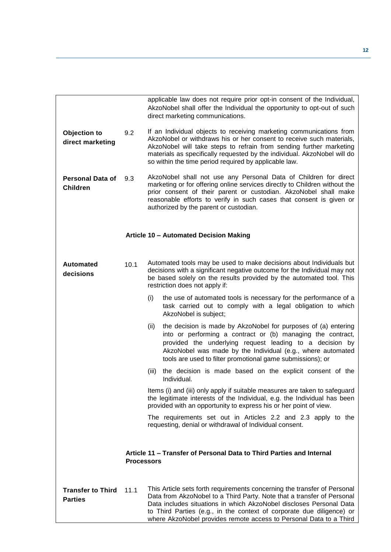<span id="page-11-1"></span><span id="page-11-0"></span>

|                                            |                   | applicable law does not require prior opt-in consent of the Individual,<br>AkzoNobel shall offer the Individual the opportunity to opt-out of such<br>direct marketing communications.                                                                                                                                                                                   |
|--------------------------------------------|-------------------|--------------------------------------------------------------------------------------------------------------------------------------------------------------------------------------------------------------------------------------------------------------------------------------------------------------------------------------------------------------------------|
| Objection to<br>direct marketing           | 9.2               | If an Individual objects to receiving marketing communications from<br>AkzoNobel or withdraws his or her consent to receive such materials,<br>AkzoNobel will take steps to refrain from sending further marketing<br>materials as specifically requested by the individual. AkzoNobel will do<br>so within the time period required by applicable law.                  |
| <b>Personal Data of</b><br><b>Children</b> | 9.3               | AkzoNobel shall not use any Personal Data of Children for direct<br>marketing or for offering online services directly to Children without the<br>prior consent of their parent or custodian. AkzoNobel shall make<br>reasonable efforts to verify in such cases that consent is given or<br>authorized by the parent or custodian.                                      |
|                                            |                   | Article 10 - Automated Decision Making                                                                                                                                                                                                                                                                                                                                   |
| Automated<br>decisions                     | 10.1              | Automated tools may be used to make decisions about Individuals but<br>decisions with a significant negative outcome for the Individual may not<br>be based solely on the results provided by the automated tool. This<br>restriction does not apply if:                                                                                                                 |
|                                            |                   | (i)<br>the use of automated tools is necessary for the performance of a<br>task carried out to comply with a legal obligation to which<br>AkzoNobel is subject;                                                                                                                                                                                                          |
|                                            |                   | (ii)<br>the decision is made by AkzoNobel for purposes of (a) entering<br>into or performing a contract or (b) managing the contract,<br>provided the underlying request leading to a decision by<br>AkzoNobel was made by the Individual (e.g., where automated<br>tools are used to filter promotional game submissions); or                                           |
|                                            |                   | the decision is made based on the explicit consent of the<br>(iii)<br>Individual.                                                                                                                                                                                                                                                                                        |
|                                            |                   | Items (i) and (iii) only apply if suitable measures are taken to safeguard<br>the legitimate interests of the Individual, e.g. the Individual has been<br>provided with an opportunity to express his or her point of view.                                                                                                                                              |
|                                            |                   | The requirements set out in Articles 2.2 and 2.3 apply to the<br>requesting, denial or withdrawal of Individual consent.                                                                                                                                                                                                                                                 |
|                                            | <b>Processors</b> | Article 11 – Transfer of Personal Data to Third Parties and Internal                                                                                                                                                                                                                                                                                                     |
| <b>Transfer to Third</b><br><b>Parties</b> | 11.1              | This Article sets forth requirements concerning the transfer of Personal<br>Data from AkzoNobel to a Third Party. Note that a transfer of Personal<br>Data includes situations in which AkzoNobel discloses Personal Data<br>to Third Parties (e.g., in the context of corporate due diligence) or<br>where AkzoNobel provides remote access to Personal Data to a Third |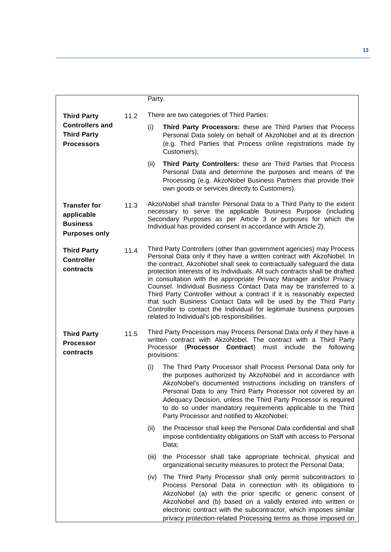|                 |                                                                   |      | Party.                                                                                                                                                                                                                                                                                                                                                                                                                                                                                                                                                                                                                                                                                                                     |  |
|-----------------|-------------------------------------------------------------------|------|----------------------------------------------------------------------------------------------------------------------------------------------------------------------------------------------------------------------------------------------------------------------------------------------------------------------------------------------------------------------------------------------------------------------------------------------------------------------------------------------------------------------------------------------------------------------------------------------------------------------------------------------------------------------------------------------------------------------------|--|
|                 | <b>Third Party</b>                                                | 11.2 | There are two categories of Third Parties:                                                                                                                                                                                                                                                                                                                                                                                                                                                                                                                                                                                                                                                                                 |  |
|                 | <b>Controllers and</b><br><b>Third Party</b><br><b>Processors</b> |      | Third Party Processors: these are Third Parties that Process<br>Personal Data solely on behalf of AkzoNobel and at its direction<br>(e.g. Third Parties that Process online registrations made by<br>Customers);                                                                                                                                                                                                                                                                                                                                                                                                                                                                                                           |  |
|                 |                                                                   |      | (ii)<br>Third Party Controllers: these are Third Parties that Process<br>Personal Data and determine the purposes and means of the<br>Processing (e.g. AkzoNobel Business Partners that provide their<br>own goods or services directly to Customers).                                                                                                                                                                                                                                                                                                                                                                                                                                                                     |  |
| <b>Business</b> | <b>Transfer for</b><br>applicable<br><b>Purposes only</b>         | 11.3 | AkzoNobel shall transfer Personal Data to a Third Party to the extent<br>necessary to serve the applicable Business Purpose (including<br>Secondary Purposes as per Article 3 or purposes for which the<br>Individual has provided consent in accordance with Article 2).                                                                                                                                                                                                                                                                                                                                                                                                                                                  |  |
| contracts       | <b>Third Party</b><br><b>Controller</b>                           | 11.4 | Third Party Controllers (other than government agencies) may Process<br>Personal Data only if they have a written contract with AkzoNobel. In<br>the contract, AkzoNobel shall seek to contractually safeguard the data<br>protection interests of its Individuals. All such contracts shall be drafted<br>in consultation with the appropriate Privacy Manager and/or Privacy<br>Counsel. Individual Business Contact Data may be transferred to a<br>Third Party Controller without a contract if it is reasonably expected<br>that such Business Contact Data will be used by the Third Party<br>Controller to contact the Individual for legitimate business purposes<br>related to Individual's job responsibilities. |  |
| contracts       | <b>Third Party</b><br><b>Processor</b>                            | 11.5 | Third Party Processors may Process Personal Data only if they have a<br>written contract with AkzoNobel. The contract with a Third Party<br>(Processor Contract) must include the following<br>Processor<br>provisions:                                                                                                                                                                                                                                                                                                                                                                                                                                                                                                    |  |
|                 |                                                                   |      | The Third Party Processor shall Process Personal Data only for<br>the purposes authorized by AkzoNobel and in accordance with<br>AkzoNobel's documented instructions including on transfers of<br>Personal Data to any Third Party Processor not covered by an<br>Adequacy Decision, unless the Third Party Processor is required<br>to do so under mandatory requirements applicable to the Third<br>Party Processor and notified to AkzoNobel;                                                                                                                                                                                                                                                                           |  |
|                 |                                                                   |      | the Processor shall keep the Personal Data confidential and shall<br>(ii)<br>impose confidentiality obligations on Staff with access to Personal<br>Data;                                                                                                                                                                                                                                                                                                                                                                                                                                                                                                                                                                  |  |
|                 |                                                                   |      | the Processor shall take appropriate technical, physical and<br>(iii)<br>organizational security measures to protect the Personal Data;                                                                                                                                                                                                                                                                                                                                                                                                                                                                                                                                                                                    |  |
|                 |                                                                   |      | The Third Party Processor shall only permit subcontractors to<br>(iv)<br>Process Personal Data in connection with its obligations to<br>AkzoNobel (a) with the prior specific or generic consent of<br>AkzoNobel and (b) based on a validly entered into written or<br>electronic contract with the subcontractor, which imposes similar<br>privacy protection-related Processing terms as those imposed on                                                                                                                                                                                                                                                                                                                |  |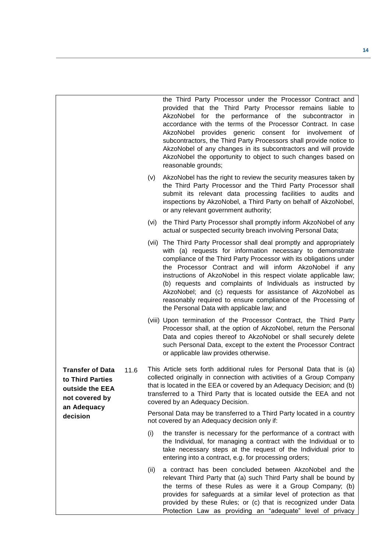|                                                                                                         |      | the Third Party Processor under the Processor Contract and<br>provided that the Third Party Processor remains liable to<br>AkzoNobel for the performance of the subcontractor in<br>accordance with the terms of the Processor Contract. In case<br>AkzoNobel<br>provides generic consent for involvement of<br>subcontractors, the Third Party Processors shall provide notice to<br>AkzoNobel of any changes in its subcontractors and will provide<br>AkzoNobel the opportunity to object to such changes based on<br>reasonable grounds;                                          |
|---------------------------------------------------------------------------------------------------------|------|---------------------------------------------------------------------------------------------------------------------------------------------------------------------------------------------------------------------------------------------------------------------------------------------------------------------------------------------------------------------------------------------------------------------------------------------------------------------------------------------------------------------------------------------------------------------------------------|
|                                                                                                         | (v)  | AkzoNobel has the right to review the security measures taken by<br>the Third Party Processor and the Third Party Processor shall<br>submit its relevant data processing facilities to audits and<br>inspections by AkzoNobel, a Third Party on behalf of AkzoNobel,<br>or any relevant government authority;                                                                                                                                                                                                                                                                         |
|                                                                                                         | (vi) | the Third Party Processor shall promptly inform AkzoNobel of any<br>actual or suspected security breach involving Personal Data;                                                                                                                                                                                                                                                                                                                                                                                                                                                      |
|                                                                                                         |      | (vii) The Third Party Processor shall deal promptly and appropriately<br>with (a) requests for information necessary to demonstrate<br>compliance of the Third Party Processor with its obligations under<br>the Processor Contract and will inform AkzoNobel if any<br>instructions of AkzoNobel in this respect violate applicable law;<br>(b) requests and complaints of Individuals as instructed by<br>AkzoNobel; and (c) requests for assistance of AkzoNobel as<br>reasonably required to ensure compliance of the Processing of<br>the Personal Data with applicable law; and |
|                                                                                                         |      | (viii) Upon termination of the Processor Contract, the Third Party<br>Processor shall, at the option of AkzoNobel, return the Personal<br>Data and copies thereof to AkzoNobel or shall securely delete<br>such Personal Data, except to the extent the Processor Contract<br>or applicable law provides otherwise.                                                                                                                                                                                                                                                                   |
| 11.6<br><b>Transfer of Data</b><br>to Third Parties<br>outside the EEA<br>not covered by<br>an Adequacy |      | This Article sets forth additional rules for Personal Data that is (a)<br>collected originally in connection with activities of a Group Company<br>that is located in the EEA or covered by an Adequacy Decision; and (b)<br>transferred to a Third Party that is located outside the EEA and not<br>covered by an Adequacy Decision.                                                                                                                                                                                                                                                 |
| decision                                                                                                |      | Personal Data may be transferred to a Third Party located in a country<br>not covered by an Adequacy decision only if:                                                                                                                                                                                                                                                                                                                                                                                                                                                                |
|                                                                                                         | (i)  | the transfer is necessary for the performance of a contract with<br>the Individual, for managing a contract with the Individual or to<br>take necessary steps at the request of the Individual prior to<br>entering into a contract, e.g. for processing orders;                                                                                                                                                                                                                                                                                                                      |
|                                                                                                         | (ii) | a contract has been concluded between AkzoNobel and the<br>relevant Third Party that (a) such Third Party shall be bound by<br>the terms of these Rules as were it a Group Company; (b)<br>provides for safeguards at a similar level of protection as that<br>provided by these Rules; or (c) that is recognized under Data<br>Protection Law as providing an "adequate" level of privacy                                                                                                                                                                                            |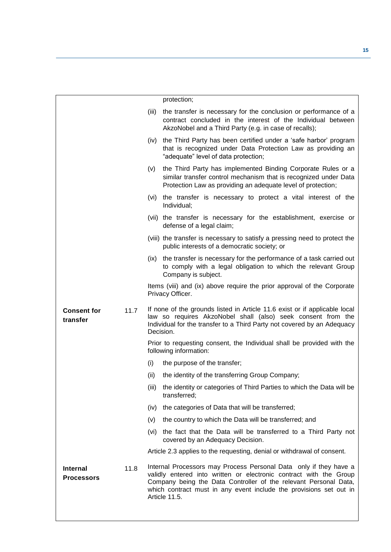|                                      |      |       | protection;                                                                                                                                                                                                                                                                                        |
|--------------------------------------|------|-------|----------------------------------------------------------------------------------------------------------------------------------------------------------------------------------------------------------------------------------------------------------------------------------------------------|
|                                      |      | (iii) | the transfer is necessary for the conclusion or performance of a<br>contract concluded in the interest of the Individual between<br>AkzoNobel and a Third Party (e.g. in case of recalls);                                                                                                         |
|                                      |      | (iv)  | the Third Party has been certified under a 'safe harbor' program<br>that is recognized under Data Protection Law as providing an<br>"adequate" level of data protection;                                                                                                                           |
|                                      |      | (v)   | the Third Party has implemented Binding Corporate Rules or a<br>similar transfer control mechanism that is recognized under Data<br>Protection Law as providing an adequate level of protection;                                                                                                   |
|                                      |      | (vi)  | the transfer is necessary to protect a vital interest of the<br>Individual;                                                                                                                                                                                                                        |
|                                      |      |       | (vii) the transfer is necessary for the establishment, exercise or<br>defense of a legal claim;                                                                                                                                                                                                    |
|                                      |      |       | (viii) the transfer is necessary to satisfy a pressing need to protect the<br>public interests of a democratic society; or                                                                                                                                                                         |
|                                      |      | (ix)  | the transfer is necessary for the performance of a task carried out<br>to comply with a legal obligation to which the relevant Group<br>Company is subject.                                                                                                                                        |
|                                      |      |       | Items (viii) and (ix) above require the prior approval of the Corporate<br>Privacy Officer.                                                                                                                                                                                                        |
| <b>Consent for</b><br>transfer       | 11.7 |       | If none of the grounds listed in Article 11.6 exist or if applicable local<br>law so requires AkzoNobel shall (also) seek consent from the<br>Individual for the transfer to a Third Party not covered by an Adequacy<br>Decision.                                                                 |
|                                      |      |       | Prior to requesting consent, the Individual shall be provided with the<br>following information:                                                                                                                                                                                                   |
|                                      |      | (i)   | the purpose of the transfer;                                                                                                                                                                                                                                                                       |
|                                      |      | (ii)  | the identity of the transferring Group Company;                                                                                                                                                                                                                                                    |
|                                      |      | (III) | the identity or categories of Third Parties to which the Data will be<br>transferred;                                                                                                                                                                                                              |
|                                      |      | (iv)  | the categories of Data that will be transferred;                                                                                                                                                                                                                                                   |
|                                      |      | (v)   | the country to which the Data will be transferred; and                                                                                                                                                                                                                                             |
|                                      |      |       | (vi) the fact that the Data will be transferred to a Third Party not<br>covered by an Adequacy Decision.                                                                                                                                                                                           |
|                                      |      |       | Article 2.3 applies to the requesting, denial or withdrawal of consent.                                                                                                                                                                                                                            |
| <b>Internal</b><br><b>Processors</b> | 11.8 |       | Internal Processors may Process Personal Data only if they have a<br>validly entered into written or electronic contract with the Group<br>Company being the Data Controller of the relevant Personal Data,<br>which contract must in any event include the provisions set out in<br>Article 11.5. |
|                                      |      |       |                                                                                                                                                                                                                                                                                                    |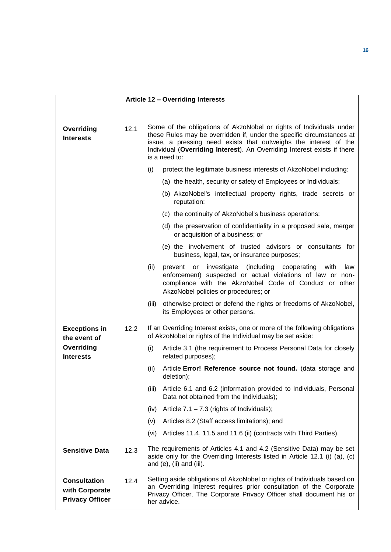<span id="page-15-0"></span>

|                                                                 |      | Article 12 - Overriding Interests                                                                                                                                                                                                                                                                             |
|-----------------------------------------------------------------|------|---------------------------------------------------------------------------------------------------------------------------------------------------------------------------------------------------------------------------------------------------------------------------------------------------------------|
| Overriding<br><b>Interests</b>                                  | 12.1 | Some of the obligations of AkzoNobel or rights of Individuals under<br>these Rules may be overridden if, under the specific circumstances at<br>issue, a pressing need exists that outweighs the interest of the<br>Individual (Overriding Interest). An Overriding Interest exists if there<br>is a need to: |
|                                                                 |      | (i)<br>protect the legitimate business interests of AkzoNobel including:                                                                                                                                                                                                                                      |
|                                                                 |      | (a) the health, security or safety of Employees or Individuals;                                                                                                                                                                                                                                               |
|                                                                 |      | (b) AkzoNobel's intellectual property rights, trade secrets or<br>reputation;                                                                                                                                                                                                                                 |
|                                                                 |      | (c) the continuity of AkzoNobel's business operations;                                                                                                                                                                                                                                                        |
|                                                                 |      | (d) the preservation of confidentiality in a proposed sale, merger<br>or acquisition of a business; or                                                                                                                                                                                                        |
|                                                                 |      | (e) the involvement of trusted advisors or consultants for<br>business, legal, tax, or insurance purposes;                                                                                                                                                                                                    |
|                                                                 |      | (ii)<br>(including<br>with<br>investigate<br>cooperating<br>law<br>prevent<br>or<br>enforcement) suspected or actual violations of law or non-<br>compliance with the AkzoNobel Code of Conduct or other<br>AkzoNobel policies or procedures; or                                                              |
|                                                                 |      | otherwise protect or defend the rights or freedoms of AkzoNobel,<br>(iii)<br>its Employees or other persons.                                                                                                                                                                                                  |
| <b>Exceptions in</b><br>the event of                            | 12.2 | If an Overriding Interest exists, one or more of the following obligations<br>of AkzoNobel or rights of the Individual may be set aside:                                                                                                                                                                      |
| Overriding<br><b>Interests</b>                                  |      | (i)<br>Article 3.1 (the requirement to Process Personal Data for closely<br>related purposes);                                                                                                                                                                                                                |
|                                                                 |      | (ii)<br>Article Error! Reference source not found. (data storage and<br>deletion);                                                                                                                                                                                                                            |
|                                                                 |      | Article 6.1 and 6.2 (information provided to Individuals, Personal<br>(iii)<br>Data not obtained from the Individuals);                                                                                                                                                                                       |
|                                                                 |      | Article $7.1 - 7.3$ (rights of Individuals);<br>(iv)                                                                                                                                                                                                                                                          |
|                                                                 |      | Articles 8.2 (Staff access limitations); and<br>(v)                                                                                                                                                                                                                                                           |
|                                                                 |      | Articles 11.4, 11.5 and 11.6 (ii) (contracts with Third Parties).<br>(vi)                                                                                                                                                                                                                                     |
| <b>Sensitive Data</b>                                           | 12.3 | The requirements of Articles 4.1 and 4.2 (Sensitive Data) may be set<br>aside only for the Overriding Interests listed in Article 12.1 (i) (a), (c)<br>and $(e)$ , $(ii)$ and $(iii)$ .                                                                                                                       |
| <b>Consultation</b><br>with Corporate<br><b>Privacy Officer</b> | 12.4 | Setting aside obligations of AkzoNobel or rights of Individuals based on<br>an Overriding Interest requires prior consultation of the Corporate<br>Privacy Officer. The Corporate Privacy Officer shall document his or<br>her advice.                                                                        |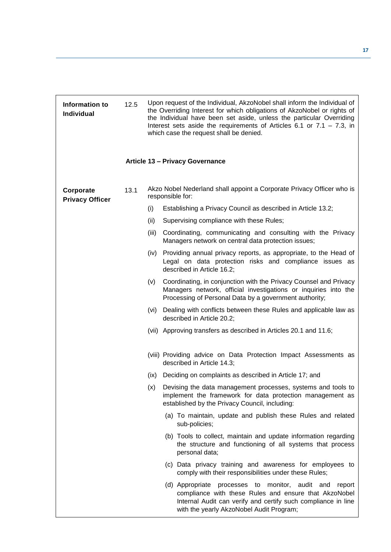<span id="page-16-0"></span>

| Information to<br><b>Individual</b> | 12.5 |       | Upon request of the Individual, AkzoNobel shall inform the Individual of<br>the Overriding Interest for which obligations of AkzoNobel or rights of<br>the Individual have been set aside, unless the particular Overriding<br>Interest sets aside the requirements of Articles 6.1 or $7.1 - 7.3$ , in<br>which case the request shall be denied. |
|-------------------------------------|------|-------|----------------------------------------------------------------------------------------------------------------------------------------------------------------------------------------------------------------------------------------------------------------------------------------------------------------------------------------------------|
|                                     |      |       | <b>Article 13 - Privacy Governance</b>                                                                                                                                                                                                                                                                                                             |
| Corporate<br><b>Privacy Officer</b> | 13.1 |       | Akzo Nobel Nederland shall appoint a Corporate Privacy Officer who is<br>responsible for:                                                                                                                                                                                                                                                          |
|                                     |      | (i)   | Establishing a Privacy Council as described in Article 13.2;                                                                                                                                                                                                                                                                                       |
|                                     |      | (ii)  | Supervising compliance with these Rules;                                                                                                                                                                                                                                                                                                           |
|                                     |      | (iii) | Coordinating, communicating and consulting with the Privacy<br>Managers network on central data protection issues;                                                                                                                                                                                                                                 |
|                                     |      |       | (iv) Providing annual privacy reports, as appropriate, to the Head of<br>Legal on data protection risks and compliance issues as<br>described in Article 16.2;                                                                                                                                                                                     |
|                                     |      | (v)   | Coordinating, in conjunction with the Privacy Counsel and Privacy<br>Managers network, official investigations or inquiries into the<br>Processing of Personal Data by a government authority;                                                                                                                                                     |
|                                     |      | (vi)  | Dealing with conflicts between these Rules and applicable law as<br>described in Article 20.2;                                                                                                                                                                                                                                                     |
|                                     |      |       | (vii) Approving transfers as described in Articles 20.1 and 11.6;                                                                                                                                                                                                                                                                                  |
|                                     |      |       | (viii) Providing advice on Data Protection Impact Assessments as<br>described in Article 14.3;                                                                                                                                                                                                                                                     |
|                                     |      | (ix)  | Deciding on complaints as described in Article 17; and                                                                                                                                                                                                                                                                                             |
|                                     |      | (x)   | Devising the data management processes, systems and tools to<br>implement the framework for data protection management as<br>established by the Privacy Council, including:                                                                                                                                                                        |
|                                     |      |       | (a) To maintain, update and publish these Rules and related<br>sub-policies;                                                                                                                                                                                                                                                                       |
|                                     |      |       | (b) Tools to collect, maintain and update information regarding<br>the structure and functioning of all systems that process<br>personal data;                                                                                                                                                                                                     |
|                                     |      |       | (c) Data privacy training and awareness for employees to<br>comply with their responsibilities under these Rules;                                                                                                                                                                                                                                  |
|                                     |      |       | (d) Appropriate processes to monitor, audit and report<br>compliance with these Rules and ensure that AkzoNobel<br>Internal Audit can verify and certify such compliance in line<br>with the yearly AkzoNobel Audit Program;                                                                                                                       |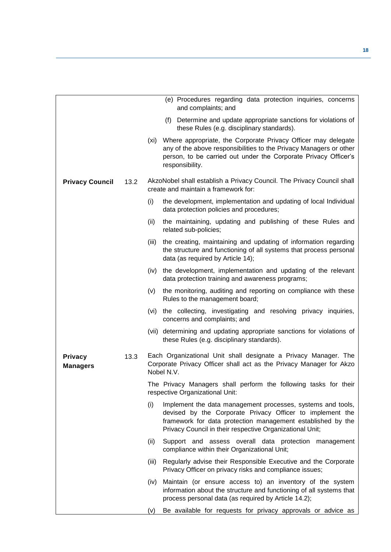|                                   |      |       | (e) Procedures regarding data protection inquiries, concerns<br>and complaints; and                                                                                                                                                                 |
|-----------------------------------|------|-------|-----------------------------------------------------------------------------------------------------------------------------------------------------------------------------------------------------------------------------------------------------|
|                                   |      |       | (f) Determine and update appropriate sanctions for violations of<br>these Rules (e.g. disciplinary standards).                                                                                                                                      |
|                                   |      |       | (xi) Where appropriate, the Corporate Privacy Officer may delegate<br>any of the above responsibilities to the Privacy Managers or other<br>person, to be carried out under the Corporate Privacy Officer's<br>responsibility.                      |
| <b>Privacy Council</b>            | 13.2 |       | AkzoNobel shall establish a Privacy Council. The Privacy Council shall<br>create and maintain a framework for:                                                                                                                                      |
|                                   |      | (i)   | the development, implementation and updating of local Individual<br>data protection policies and procedures;                                                                                                                                        |
|                                   |      | (ii)  | the maintaining, updating and publishing of these Rules and<br>related sub-policies;                                                                                                                                                                |
|                                   |      | (iii) | the creating, maintaining and updating of information regarding<br>the structure and functioning of all systems that process personal<br>data (as required by Article 14);                                                                          |
|                                   |      | (iv)  | the development, implementation and updating of the relevant<br>data protection training and awareness programs;                                                                                                                                    |
|                                   |      | (v)   | the monitoring, auditing and reporting on compliance with these<br>Rules to the management board;                                                                                                                                                   |
|                                   |      |       | (vi) the collecting, investigating and resolving privacy inquiries,<br>concerns and complaints; and                                                                                                                                                 |
|                                   |      |       | (vii) determining and updating appropriate sanctions for violations of<br>these Rules (e.g. disciplinary standards).                                                                                                                                |
| <b>Privacy</b><br><b>Managers</b> | 13.3 |       | Each Organizational Unit shall designate a Privacy Manager. The<br>Corporate Privacy Officer shall act as the Privacy Manager for Akzo<br>Nobel N.V.                                                                                                |
|                                   |      |       | The Privacy Managers shall perform the following tasks for their<br>respective Organizational Unit:                                                                                                                                                 |
|                                   |      | (i)   | Implement the data management processes, systems and tools,<br>devised by the Corporate Privacy Officer to implement the<br>framework for data protection management established by the<br>Privacy Council in their respective Organizational Unit; |
|                                   |      | (ii)  | Support and assess overall data protection management<br>compliance within their Organizational Unit;                                                                                                                                               |
|                                   |      | (iii) | Regularly advise their Responsible Executive and the Corporate<br>Privacy Officer on privacy risks and compliance issues;                                                                                                                           |
|                                   |      | (iv)  | Maintain (or ensure access to) an inventory of the system<br>information about the structure and functioning of all systems that<br>process personal data (as required by Article 14.2);                                                            |
|                                   |      | (V)   | Be available for requests for privacy approvals or advice as                                                                                                                                                                                        |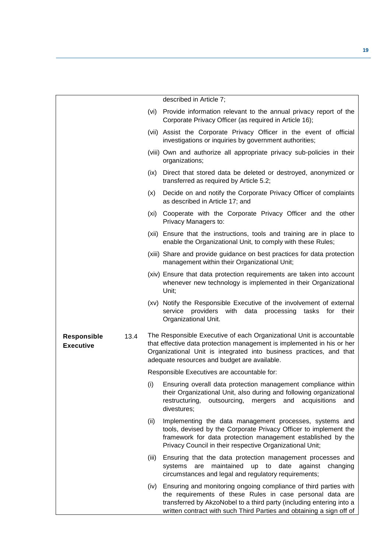|                                                |       | described in Article 7;                                                                                                                                                                                                                                                       |
|------------------------------------------------|-------|-------------------------------------------------------------------------------------------------------------------------------------------------------------------------------------------------------------------------------------------------------------------------------|
|                                                | (vi)  | Provide information relevant to the annual privacy report of the<br>Corporate Privacy Officer (as required in Article 16);                                                                                                                                                    |
|                                                |       | (vii) Assist the Corporate Privacy Officer in the event of official<br>investigations or inquiries by government authorities;                                                                                                                                                 |
|                                                |       | (viii) Own and authorize all appropriate privacy sub-policies in their<br>organizations;                                                                                                                                                                                      |
|                                                | (ix)  | Direct that stored data be deleted or destroyed, anonymized or<br>transferred as required by Article 5.2;                                                                                                                                                                     |
|                                                | (x)   | Decide on and notify the Corporate Privacy Officer of complaints<br>as described in Article 17; and                                                                                                                                                                           |
|                                                | (xi)  | Cooperate with the Corporate Privacy Officer and the other<br>Privacy Managers to:                                                                                                                                                                                            |
|                                                |       | (xii) Ensure that the instructions, tools and training are in place to<br>enable the Organizational Unit, to comply with these Rules;                                                                                                                                         |
|                                                |       | (xiii) Share and provide guidance on best practices for data protection<br>management within their Organizational Unit;                                                                                                                                                       |
|                                                |       | (xiv) Ensure that data protection requirements are taken into account<br>whenever new technology is implemented in their Organizational<br>Unit;                                                                                                                              |
|                                                |       | (xv) Notify the Responsible Executive of the involvement of external<br>service<br>providers with<br>data<br>processing<br>tasks<br>for<br>their<br>Organizational Unit.                                                                                                      |
| 13.4<br><b>Responsible</b><br><b>Executive</b> |       | The Responsible Executive of each Organizational Unit is accountable<br>that effective data protection management is implemented in his or her<br>Organizational Unit is integrated into business practices, and that<br>adequate resources and budget are available.         |
|                                                |       | Responsible Executives are accountable for:                                                                                                                                                                                                                                   |
|                                                |       | (i) Ensuring overall data protection management compliance within<br>their Organizational Unit, also during and following organizational<br>outsourcing, mergers and acquisitions<br>restructuring,<br>and<br>divestures;                                                     |
|                                                | (ii)  | Implementing the data management processes, systems and<br>tools, devised by the Corporate Privacy Officer to implement the<br>framework for data protection management established by the<br>Privacy Council in their respective Organizational Unit;                        |
|                                                | (iii) | Ensuring that the data protection management processes and<br>maintained up to date<br>against<br>systems<br>are<br>changing<br>circumstances and legal and regulatory requirements;                                                                                          |
|                                                | (iv)  | Ensuring and monitoring ongoing compliance of third parties with<br>the requirements of these Rules in case personal data are<br>transferred by AkzoNobel to a third party (including entering into a<br>written contract with such Third Parties and obtaining a sign off of |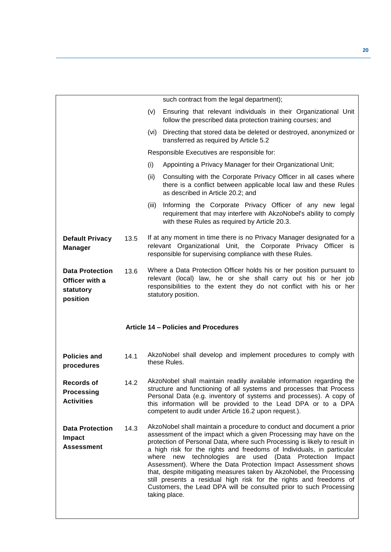<span id="page-19-0"></span>

|                                                                   |      |       | such contract from the legal department);                                                                                                                                                                                                                                                                                                   |
|-------------------------------------------------------------------|------|-------|---------------------------------------------------------------------------------------------------------------------------------------------------------------------------------------------------------------------------------------------------------------------------------------------------------------------------------------------|
|                                                                   |      | (v)   | Ensuring that relevant individuals in their Organizational Unit<br>follow the prescribed data protection training courses; and                                                                                                                                                                                                              |
|                                                                   |      | (vi)  | Directing that stored data be deleted or destroyed, anonymized or<br>transferred as required by Article 5.2                                                                                                                                                                                                                                 |
|                                                                   |      |       | Responsible Executives are responsible for:                                                                                                                                                                                                                                                                                                 |
|                                                                   |      | (i)   | Appointing a Privacy Manager for their Organizational Unit;                                                                                                                                                                                                                                                                                 |
|                                                                   |      | (ii)  | Consulting with the Corporate Privacy Officer in all cases where<br>there is a conflict between applicable local law and these Rules<br>as described in Article 20.2; and                                                                                                                                                                   |
|                                                                   |      | (iii) | Informing the Corporate Privacy Officer of any new legal<br>requirement that may interfere with AkzoNobel's ability to comply<br>with these Rules as required by Article 20.3.                                                                                                                                                              |
| <b>Default Privacy</b><br><b>Manager</b>                          | 13.5 |       | If at any moment in time there is no Privacy Manager designated for a<br>relevant Organizational Unit, the Corporate Privacy Officer is<br>responsible for supervising compliance with these Rules.                                                                                                                                         |
| <b>Data Protection</b><br>Officer with a<br>statutory<br>position | 13.6 |       | Where a Data Protection Officer holds his or her position pursuant to<br>relevant (local) law, he or she shall carry out his or her job<br>responsibilities to the extent they do not conflict with his or her<br>statutory position.                                                                                                       |
|                                                                   |      |       |                                                                                                                                                                                                                                                                                                                                             |
|                                                                   |      |       | Article 14 - Policies and Procedures                                                                                                                                                                                                                                                                                                        |
| <b>Policies and</b><br>procedures                                 | 14.1 |       | AkzoNobel shall develop and implement procedures to comply with<br>these Rules.                                                                                                                                                                                                                                                             |
| <b>Records of</b><br><b>Processing</b><br><b>Activities</b>       | 14.2 |       | AkzoNobel shall maintain readily available information regarding the<br>structure and functioning of all systems and processes that Process<br>Personal Data (e.g. inventory of systems and processes). A copy of<br>this information will be provided to the Lead DPA or to a DPA<br>competent to audit under Article 16.2 upon request.). |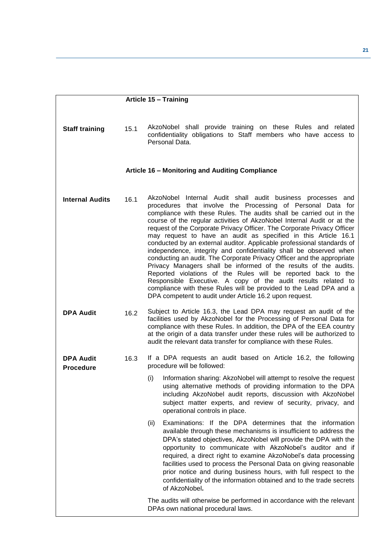<span id="page-20-1"></span><span id="page-20-0"></span>

|                                      |      | Article 15 - Training                                                                                                                                                                                                                                                                                                                                                                                                                                                                                                                                                                                                                                                                                                                                                                                                                                                                                                                                                                     |
|--------------------------------------|------|-------------------------------------------------------------------------------------------------------------------------------------------------------------------------------------------------------------------------------------------------------------------------------------------------------------------------------------------------------------------------------------------------------------------------------------------------------------------------------------------------------------------------------------------------------------------------------------------------------------------------------------------------------------------------------------------------------------------------------------------------------------------------------------------------------------------------------------------------------------------------------------------------------------------------------------------------------------------------------------------|
|                                      |      |                                                                                                                                                                                                                                                                                                                                                                                                                                                                                                                                                                                                                                                                                                                                                                                                                                                                                                                                                                                           |
| <b>Staff training</b>                | 15.1 | AkzoNobel shall provide training on these Rules and related<br>confidentiality obligations to Staff members who have access to<br>Personal Data.                                                                                                                                                                                                                                                                                                                                                                                                                                                                                                                                                                                                                                                                                                                                                                                                                                          |
|                                      |      | Article 16 - Monitoring and Auditing Compliance                                                                                                                                                                                                                                                                                                                                                                                                                                                                                                                                                                                                                                                                                                                                                                                                                                                                                                                                           |
| <b>Internal Audits</b>               | 16.1 | AkzoNobel Internal Audit shall audit business processes and<br>procedures that involve the Processing of Personal Data for<br>compliance with these Rules. The audits shall be carried out in the<br>course of the regular activities of AkzoNobel Internal Audit or at the<br>request of the Corporate Privacy Officer. The Corporate Privacy Officer<br>may request to have an audit as specified in this Article 16.1<br>conducted by an external auditor. Applicable professional standards of<br>independence, integrity and confidentiality shall be observed when<br>conducting an audit. The Corporate Privacy Officer and the appropriate<br>Privacy Managers shall be informed of the results of the audits.<br>Reported violations of the Rules will be reported back to the<br>Responsible Executive. A copy of the audit results related to<br>compliance with these Rules will be provided to the Lead DPA and a<br>DPA competent to audit under Article 16.2 upon request. |
| <b>DPA Audit</b>                     | 16.2 | Subject to Article 16.3, the Lead DPA may request an audit of the<br>facilities used by AkzoNobel for the Processing of Personal Data for<br>compliance with these Rules. In addition, the DPA of the EEA country<br>at the origin of a data transfer under these rules will be authorized to<br>audit the relevant data transfer for compliance with these Rules.                                                                                                                                                                                                                                                                                                                                                                                                                                                                                                                                                                                                                        |
| <b>DPA Audit</b><br><b>Procedure</b> | 16.3 | If a DPA requests an audit based on Article 16.2, the following<br>procedure will be followed:                                                                                                                                                                                                                                                                                                                                                                                                                                                                                                                                                                                                                                                                                                                                                                                                                                                                                            |
|                                      |      | Information sharing: AkzoNobel will attempt to resolve the request<br>(i)<br>using alternative methods of providing information to the DPA<br>including AkzoNobel audit reports, discussion with AkzoNobel<br>subject matter experts, and review of security, privacy, and<br>operational controls in place.                                                                                                                                                                                                                                                                                                                                                                                                                                                                                                                                                                                                                                                                              |
|                                      |      | Examinations: If the DPA determines that the information<br>(ii)<br>available through these mechanisms is insufficient to address the<br>DPA's stated objectives, AkzoNobel will provide the DPA with the<br>opportunity to communicate with AkzoNobel's auditor and if<br>required, a direct right to examine AkzoNobel's data processing<br>facilities used to process the Personal Data on giving reasonable<br>prior notice and during business hours, with full respect to the<br>confidentiality of the information obtained and to the trade secrets<br>of AkzoNobel.                                                                                                                                                                                                                                                                                                                                                                                                              |
|                                      |      | The audits will otherwise be performed in accordance with the relevant<br>DPAs own national procedural laws.                                                                                                                                                                                                                                                                                                                                                                                                                                                                                                                                                                                                                                                                                                                                                                                                                                                                              |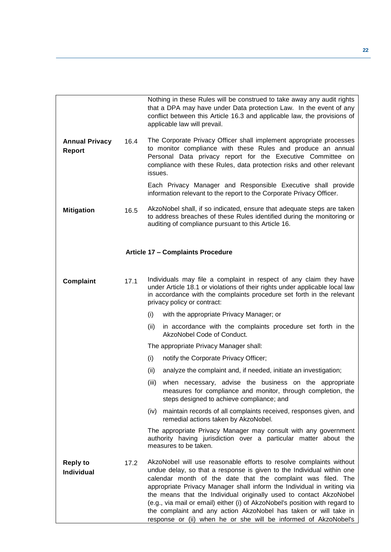<span id="page-21-0"></span>

|                                        |      | Nothing in these Rules will be construed to take away any audit rights<br>that a DPA may have under Data protection Law. In the event of any<br>conflict between this Article 16.3 and applicable law, the provisions of<br>applicable law will prevail.                                                                                                                                                                                                                                                                                                                           |
|----------------------------------------|------|------------------------------------------------------------------------------------------------------------------------------------------------------------------------------------------------------------------------------------------------------------------------------------------------------------------------------------------------------------------------------------------------------------------------------------------------------------------------------------------------------------------------------------------------------------------------------------|
| <b>Annual Privacy</b><br><b>Report</b> | 16.4 | The Corporate Privacy Officer shall implement appropriate processes<br>to monitor compliance with these Rules and produce an annual<br>Personal Data privacy report for the Executive Committee on<br>compliance with these Rules, data protection risks and other relevant<br>issues.                                                                                                                                                                                                                                                                                             |
|                                        |      | Each Privacy Manager and Responsible Executive shall provide<br>information relevant to the report to the Corporate Privacy Officer.                                                                                                                                                                                                                                                                                                                                                                                                                                               |
| <b>Mitigation</b>                      | 16.5 | AkzoNobel shall, if so indicated, ensure that adequate steps are taken<br>to address breaches of these Rules identified during the monitoring or<br>auditing of compliance pursuant to this Article 16.                                                                                                                                                                                                                                                                                                                                                                            |
|                                        |      | <b>Article 17 - Complaints Procedure</b>                                                                                                                                                                                                                                                                                                                                                                                                                                                                                                                                           |
| Complaint                              | 17.1 | Individuals may file a complaint in respect of any claim they have<br>under Article 18.1 or violations of their rights under applicable local law<br>in accordance with the complaints procedure set forth in the relevant<br>privacy policy or contract:                                                                                                                                                                                                                                                                                                                          |
|                                        |      | (i)<br>with the appropriate Privacy Manager; or                                                                                                                                                                                                                                                                                                                                                                                                                                                                                                                                    |
|                                        |      | (ii)<br>in accordance with the complaints procedure set forth in the<br>AkzoNobel Code of Conduct.                                                                                                                                                                                                                                                                                                                                                                                                                                                                                 |
|                                        |      | The appropriate Privacy Manager shall:                                                                                                                                                                                                                                                                                                                                                                                                                                                                                                                                             |
|                                        |      | (i)<br>notify the Corporate Privacy Officer;                                                                                                                                                                                                                                                                                                                                                                                                                                                                                                                                       |
|                                        |      | (ii)<br>analyze the complaint and, if needed, initiate an investigation;                                                                                                                                                                                                                                                                                                                                                                                                                                                                                                           |
|                                        |      | when necessary, advise the business on the appropriate<br>(iii)<br>measures for compliance and monitor, through completion, the<br>steps designed to achieve compliance; and                                                                                                                                                                                                                                                                                                                                                                                                       |
|                                        |      | maintain records of all complaints received, responses given, and<br>(iv)<br>remedial actions taken by AkzoNobel.                                                                                                                                                                                                                                                                                                                                                                                                                                                                  |
|                                        |      | The appropriate Privacy Manager may consult with any government<br>authority having jurisdiction over a particular matter about the<br>measures to be taken.                                                                                                                                                                                                                                                                                                                                                                                                                       |
| <b>Reply to</b><br><b>Individual</b>   | 17.2 | AkzoNobel will use reasonable efforts to resolve complaints without<br>undue delay, so that a response is given to the Individual within one<br>calendar month of the date that the complaint was filed. The<br>appropriate Privacy Manager shall inform the Individual in writing via<br>the means that the Individual originally used to contact AkzoNobel<br>(e.g., via mail or email) either (i) of AkzoNobel's position with regard to<br>the complaint and any action AkzoNobel has taken or will take in<br>response or (ii) when he or she will be informed of AkzoNobel's |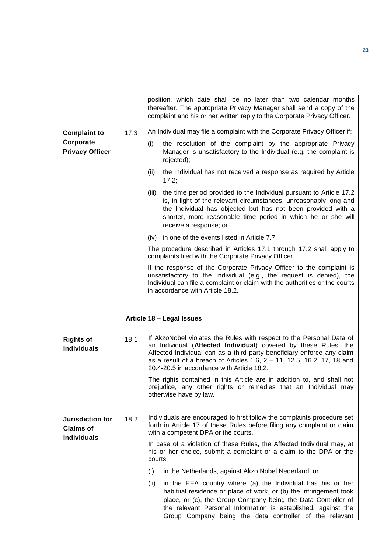<span id="page-22-0"></span>

|                                                            |      | position, which date shall be no later than two calendar months<br>thereafter. The appropriate Privacy Manager shall send a copy of the<br>complaint and his or her written reply to the Corporate Privacy Officer.                                                                                                                        |
|------------------------------------------------------------|------|--------------------------------------------------------------------------------------------------------------------------------------------------------------------------------------------------------------------------------------------------------------------------------------------------------------------------------------------|
| <b>Complaint to</b>                                        | 17.3 | An Individual may file a complaint with the Corporate Privacy Officer if:                                                                                                                                                                                                                                                                  |
| Corporate<br><b>Privacy Officer</b>                        |      | (i)<br>the resolution of the complaint by the appropriate Privacy<br>Manager is unsatisfactory to the Individual (e.g. the complaint is<br>rejected);                                                                                                                                                                                      |
|                                                            |      | (ii)<br>the Individual has not received a response as required by Article<br>17.2;                                                                                                                                                                                                                                                         |
|                                                            |      | the time period provided to the Individual pursuant to Article 17.2<br>(iii)<br>is, in light of the relevant circumstances, unreasonably long and<br>the Individual has objected but has not been provided with a<br>shorter, more reasonable time period in which he or she will<br>receive a response; or                                |
|                                                            |      | in one of the events listed in Article 7.7.<br>(iv)                                                                                                                                                                                                                                                                                        |
|                                                            |      | The procedure described in Articles 17.1 through 17.2 shall apply to<br>complaints filed with the Corporate Privacy Officer.                                                                                                                                                                                                               |
|                                                            |      | If the response of the Corporate Privacy Officer to the complaint is<br>unsatisfactory to the Individual (e.g., the request is denied), the<br>Individual can file a complaint or claim with the authorities or the courts<br>in accordance with Article 18.2.                                                                             |
|                                                            |      | Article 18 - Legal Issues                                                                                                                                                                                                                                                                                                                  |
| <b>Rights of</b><br><b>Individuals</b>                     | 18.1 | If AkzoNobel violates the Rules with respect to the Personal Data of<br>an Individual (Affected Individual) covered by these Rules, the<br>Affected Individual can as a third party beneficiary enforce any claim<br>as a result of a breach of Articles 1.6, 2 - 11, 12.5, 16.2, 17, 18 and<br>20.4-20.5 in accordance with Article 18.2. |
|                                                            |      | The rights contained in this Article are in addition to, and shall not<br>prejudice, any other rights or remedies that an Individual may<br>otherwise have by law.                                                                                                                                                                         |
| Jurisdiction for<br><b>Claims of</b><br><b>Individuals</b> | 18.2 | Individuals are encouraged to first follow the complaints procedure set<br>forth in Article 17 of these Rules before filing any complaint or claim<br>with a competent DPA or the courts.                                                                                                                                                  |
|                                                            |      | In case of a violation of these Rules, the Affected Individual may, at<br>his or her choice, submit a complaint or a claim to the DPA or the<br>courts:                                                                                                                                                                                    |
|                                                            |      | (i)<br>in the Netherlands, against Akzo Nobel Nederland; or                                                                                                                                                                                                                                                                                |
|                                                            |      | in the EEA country where (a) the Individual has his or her<br>(ii)<br>habitual residence or place of work, or (b) the infringement took<br>place, or (c), the Group Company being the Data Controller of<br>the relevant Personal Information is established, against the<br>Group Company being the data controller of the relevant       |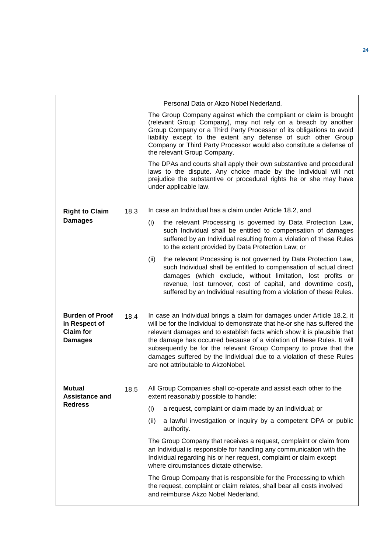|                                                                               |      | Personal Data or Akzo Nobel Nederland.                                                                                                                                                                                                                                                                                                                                                                                                                                                      |
|-------------------------------------------------------------------------------|------|---------------------------------------------------------------------------------------------------------------------------------------------------------------------------------------------------------------------------------------------------------------------------------------------------------------------------------------------------------------------------------------------------------------------------------------------------------------------------------------------|
|                                                                               |      | The Group Company against which the compliant or claim is brought<br>(relevant Group Company), may not rely on a breach by another<br>Group Company or a Third Party Processor of its obligations to avoid<br>liability except to the extent any defense of such other Group<br>Company or Third Party Processor would also constitute a defense of<br>the relevant Group Company.                                                                                                          |
|                                                                               |      | The DPAs and courts shall apply their own substantive and procedural<br>laws to the dispute. Any choice made by the Individual will not<br>prejudice the substantive or procedural rights he or she may have<br>under applicable law.                                                                                                                                                                                                                                                       |
| <b>Right to Claim</b>                                                         | 18.3 | In case an Individual has a claim under Article 18.2, and                                                                                                                                                                                                                                                                                                                                                                                                                                   |
| <b>Damages</b>                                                                |      | (i)<br>the relevant Processing is governed by Data Protection Law,<br>such Individual shall be entitled to compensation of damages<br>suffered by an Individual resulting from a violation of these Rules<br>to the extent provided by Data Protection Law; or                                                                                                                                                                                                                              |
|                                                                               |      | (ii)<br>the relevant Processing is not governed by Data Protection Law,<br>such Individual shall be entitled to compensation of actual direct<br>damages (which exclude, without limitation, lost profits or<br>revenue, lost turnover, cost of capital, and downtime cost),<br>suffered by an Individual resulting from a violation of these Rules.                                                                                                                                        |
| <b>Burden of Proof</b><br>in Respect of<br><b>Claim for</b><br><b>Damages</b> | 18.4 | In case an Individual brings a claim for damages under Article 18.2, it<br>will be for the Individual to demonstrate that he-or she has suffered the<br>relevant damages and to establish facts which show it is plausible that<br>the damage has occurred because of a violation of these Rules. It will<br>subsequently be for the relevant Group Company to prove that the<br>damages suffered by the Individual due to a violation of these Rules<br>are not attributable to AkzoNobel. |
| Mutual                                                                        | 18.5 | All Group Companies shall co-operate and assist each other to the                                                                                                                                                                                                                                                                                                                                                                                                                           |
| <b>Assistance and</b><br><b>Redress</b>                                       |      | extent reasonably possible to handle:<br>(i)<br>a request, complaint or claim made by an Individual; or                                                                                                                                                                                                                                                                                                                                                                                     |
|                                                                               |      | a lawful investigation or inquiry by a competent DPA or public<br>(ii)                                                                                                                                                                                                                                                                                                                                                                                                                      |
|                                                                               |      | authority.                                                                                                                                                                                                                                                                                                                                                                                                                                                                                  |
|                                                                               |      | The Group Company that receives a request, complaint or claim from<br>an Individual is responsible for handling any communication with the<br>Individual regarding his or her request, complaint or claim except<br>where circumstances dictate otherwise.                                                                                                                                                                                                                                  |
|                                                                               |      | The Group Company that is responsible for the Processing to which<br>the request, complaint or claim relates, shall bear all costs involved<br>and reimburse Akzo Nobel Nederland.                                                                                                                                                                                                                                                                                                          |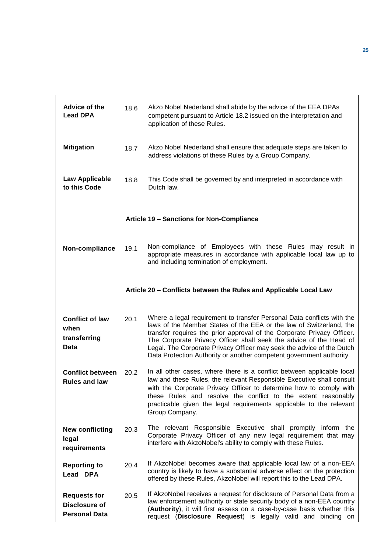<span id="page-24-1"></span><span id="page-24-0"></span>

| Advice of the<br><b>Lead DPA</b>                                    | 18.6 | Akzo Nobel Nederland shall abide by the advice of the EEA DPAs<br>competent pursuant to Article 18.2 issued on the interpretation and<br>application of these Rules.                                                                                                                                                                                                                                                                           |
|---------------------------------------------------------------------|------|------------------------------------------------------------------------------------------------------------------------------------------------------------------------------------------------------------------------------------------------------------------------------------------------------------------------------------------------------------------------------------------------------------------------------------------------|
| <b>Mitigation</b>                                                   | 18.7 | Akzo Nobel Nederland shall ensure that adequate steps are taken to<br>address violations of these Rules by a Group Company.                                                                                                                                                                                                                                                                                                                    |
| Law Applicable<br>to this Code                                      | 18.8 | This Code shall be governed by and interpreted in accordance with<br>Dutch law.                                                                                                                                                                                                                                                                                                                                                                |
|                                                                     |      | Article 19 - Sanctions for Non-Compliance                                                                                                                                                                                                                                                                                                                                                                                                      |
| Non-compliance                                                      | 19.1 | Non-compliance of Employees with these Rules may result in<br>appropriate measures in accordance with applicable local law up to<br>and including termination of employment.                                                                                                                                                                                                                                                                   |
|                                                                     |      | Article 20 - Conflicts between the Rules and Applicable Local Law                                                                                                                                                                                                                                                                                                                                                                              |
| <b>Conflict of law</b><br>when<br>transferring<br>Data              | 20.1 | Where a legal requirement to transfer Personal Data conflicts with the<br>laws of the Member States of the EEA or the law of Switzerland, the<br>transfer requires the prior approval of the Corporate Privacy Officer.<br>The Corporate Privacy Officer shall seek the advice of the Head of<br>Legal. The Corporate Privacy Officer may seek the advice of the Dutch<br>Data Protection Authority or another competent government authority. |
| <b>Conflict between</b><br><b>Rules and law</b>                     | 20.2 | In all other cases, where there is a conflict between applicable local<br>law and these Rules, the relevant Responsible Executive shall consult<br>with the Corporate Privacy Officer to determine how to comply with<br>these Rules and resolve the conflict to the extent reasonably<br>practicable given the legal requirements applicable to the relevant<br>Group Company.                                                                |
| <b>New conflicting</b><br>legal<br>requirements                     | 20.3 | The relevant Responsible Executive shall promptly inform the<br>Corporate Privacy Officer of any new legal requirement that may<br>interfere with AkzoNobel's ability to comply with these Rules.                                                                                                                                                                                                                                              |
| <b>Reporting to</b><br>Lead DPA                                     | 20.4 | If AkzoNobel becomes aware that applicable local law of a non-EEA<br>country is likely to have a substantial adverse effect on the protection<br>offered by these Rules, AkzoNobel will report this to the Lead DPA.                                                                                                                                                                                                                           |
| <b>Requests for</b><br><b>Disclosure of</b><br><b>Personal Data</b> | 20.5 | If AkzoNobel receives a request for disclosure of Personal Data from a<br>law enforcement authority or state security body of a non-EEA country<br>(Authority), it will first assess on a case-by-case basis whether this<br>request (Disclosure Request) is legally valid and binding on                                                                                                                                                      |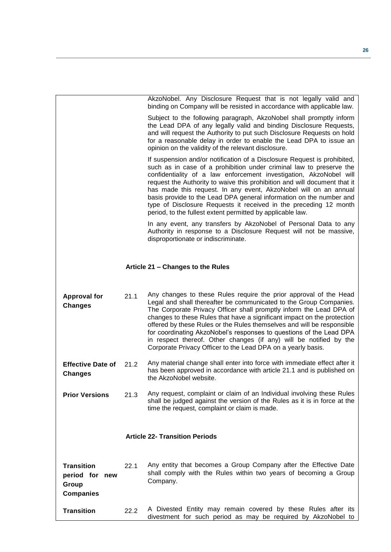<span id="page-25-1"></span><span id="page-25-0"></span>

|                                                                  |      | AkzoNobel. Any Disclosure Request that is not legally valid and<br>binding on Company will be resisted in accordance with applicable law.                                                                                                                                                                                                                                                                                                                                                                                                                                        |
|------------------------------------------------------------------|------|----------------------------------------------------------------------------------------------------------------------------------------------------------------------------------------------------------------------------------------------------------------------------------------------------------------------------------------------------------------------------------------------------------------------------------------------------------------------------------------------------------------------------------------------------------------------------------|
|                                                                  |      | Subject to the following paragraph, AkzoNobel shall promptly inform<br>the Lead DPA of any legally valid and binding Disclosure Requests,<br>and will request the Authority to put such Disclosure Requests on hold<br>for a reasonable delay in order to enable the Lead DPA to issue an<br>opinion on the validity of the relevant disclosure.                                                                                                                                                                                                                                 |
|                                                                  |      | If suspension and/or notification of a Disclosure Request is prohibited,<br>such as in case of a prohibition under criminal law to preserve the<br>confidentiality of a law enforcement investigation, AkzoNobel will<br>request the Authority to waive this prohibition and will document that it<br>has made this request. In any event, AkzoNobel will on an annual<br>basis provide to the Lead DPA general information on the number and<br>type of Disclosure Requests it received in the preceding 12 month<br>period, to the fullest extent permitted by applicable law. |
|                                                                  |      | In any event, any transfers by AkzoNobel of Personal Data to any<br>Authority in response to a Disclosure Request will not be massive,<br>disproportionate or indiscriminate.                                                                                                                                                                                                                                                                                                                                                                                                    |
|                                                                  |      | Article 21 - Changes to the Rules                                                                                                                                                                                                                                                                                                                                                                                                                                                                                                                                                |
| <b>Approval for</b><br><b>Changes</b>                            | 21.1 | Any changes to these Rules require the prior approval of the Head<br>Legal and shall thereafter be communicated to the Group Companies.<br>The Corporate Privacy Officer shall promptly inform the Lead DPA of<br>changes to these Rules that have a significant impact on the protection<br>offered by these Rules or the Rules themselves and will be responsible<br>for coordinating AkzoNobel's responses to questions of the Lead DPA<br>in respect thereof. Other changes (if any) will be notified by the<br>Corporate Privacy Officer to the Lead DPA on a yearly basis. |
| <b>Effective Date of</b><br><b>Changes</b>                       | 21.2 | Any material change shall enter into force with immediate effect after it<br>has been approved in accordance with article 21.1 and is published on<br>the AkzoNobel website.                                                                                                                                                                                                                                                                                                                                                                                                     |
| <b>Prior Versions</b>                                            | 21.3 | Any request, complaint or claim of an Individual involving these Rules<br>shall be judged against the version of the Rules as it is in force at the<br>time the request, complaint or claim is made.                                                                                                                                                                                                                                                                                                                                                                             |
|                                                                  |      | <b>Article 22- Transition Periods</b>                                                                                                                                                                                                                                                                                                                                                                                                                                                                                                                                            |
|                                                                  |      |                                                                                                                                                                                                                                                                                                                                                                                                                                                                                                                                                                                  |
| <b>Transition</b><br>period for new<br>Group<br><b>Companies</b> | 22.1 | Any entity that becomes a Group Company after the Effective Date<br>shall comply with the Rules within two years of becoming a Group<br>Company.                                                                                                                                                                                                                                                                                                                                                                                                                                 |
| <b>Transition</b>                                                | 22.2 | A Divested Entity may remain covered by these Rules after its<br>divestment for such period as may be required by AkzoNobel to                                                                                                                                                                                                                                                                                                                                                                                                                                                   |
|                                                                  |      |                                                                                                                                                                                                                                                                                                                                                                                                                                                                                                                                                                                  |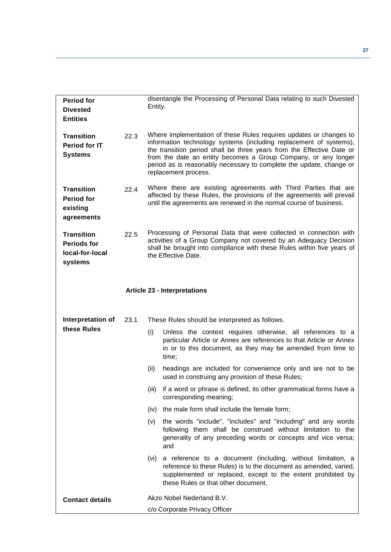<span id="page-26-0"></span>

| <b>Period for</b><br><b>Divested</b><br><b>Entities</b>               |      | Entity. | disentangle the Processing of Personal Data relating to such Divested                                                                                                                                                                                                                                                                                                              |
|-----------------------------------------------------------------------|------|---------|------------------------------------------------------------------------------------------------------------------------------------------------------------------------------------------------------------------------------------------------------------------------------------------------------------------------------------------------------------------------------------|
| <b>Transition</b><br><b>Period for IT</b><br><b>Systems</b>           | 22.3 |         | Where implementation of these Rules requires updates or changes to<br>information technology systems (including replacement of systems),<br>the transition period shall be three years from the Effective Date or<br>from the date an entity becomes a Group Company, or any longer<br>period as is reasonably necessary to complete the update, change or<br>replacement process. |
| <b>Transition</b><br><b>Period for</b><br>existing<br>agreements      | 22.4 |         | Where there are existing agreements with Third Parties that are<br>affected by these Rules, the provisions of the agreements will prevail<br>until the agreements are renewed in the normal course of business.                                                                                                                                                                    |
| <b>Transition</b><br><b>Periods for</b><br>local-for-local<br>systems | 22.5 |         | Processing of Personal Data that were collected in connection with<br>activities of a Group Company not covered by an Adequacy Decision<br>shall be brought into compliance with these Rules within five years of<br>the Effective Date.                                                                                                                                           |
|                                                                       |      |         | <b>Article 23 - Interpretations</b>                                                                                                                                                                                                                                                                                                                                                |
|                                                                       |      |         |                                                                                                                                                                                                                                                                                                                                                                                    |
| Interpretation of<br>these Rules                                      | 23.1 |         | These Rules should be interpreted as follows.                                                                                                                                                                                                                                                                                                                                      |
|                                                                       |      | (i)     | Unless the context requires otherwise, all references to a<br>particular Article or Annex are references to that Article or Annex<br>in or to this document, as they may be amended from time to<br>time;                                                                                                                                                                          |
|                                                                       |      | (ii)    | headings are included for convenience only and are not to be<br>used in construing any provision of these Rules;                                                                                                                                                                                                                                                                   |
|                                                                       |      | (iii)   | if a word or phrase is defined, its other grammatical forms have a<br>corresponding meaning;                                                                                                                                                                                                                                                                                       |
|                                                                       |      | (iv)    | the male form shall include the female form;                                                                                                                                                                                                                                                                                                                                       |
|                                                                       |      | (v)     | the words "include", "includes" and "including" and any words<br>following them shall be construed without limitation to the<br>generality of any preceding words or concepts and vice versa;<br>and                                                                                                                                                                               |
|                                                                       |      | (vi)    | a reference to a document (including, without limitation, a<br>reference to these Rules) is to the document as amended, varied,<br>supplemented or replaced, except to the extent prohibited by<br>these Rules or that other document.                                                                                                                                             |
| <b>Contact details</b>                                                |      |         | Akzo Nobel Nederland B.V.                                                                                                                                                                                                                                                                                                                                                          |
|                                                                       |      |         | c/o Corporate Privacy Officer                                                                                                                                                                                                                                                                                                                                                      |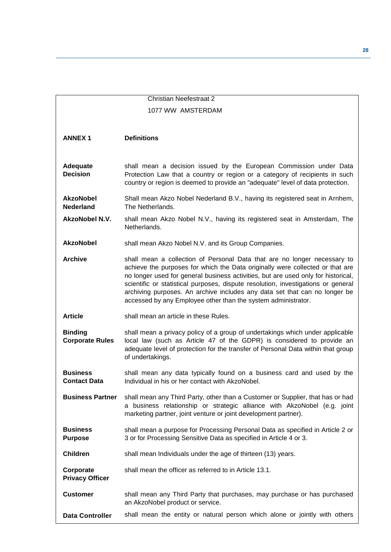<span id="page-27-0"></span>

|                                          | <b>Christian Neefestraat 2</b>                                                                                                                                                                                                                                                                                                                                                                                                                                                     |
|------------------------------------------|------------------------------------------------------------------------------------------------------------------------------------------------------------------------------------------------------------------------------------------------------------------------------------------------------------------------------------------------------------------------------------------------------------------------------------------------------------------------------------|
|                                          | 1077 WW AMSTERDAM                                                                                                                                                                                                                                                                                                                                                                                                                                                                  |
|                                          |                                                                                                                                                                                                                                                                                                                                                                                                                                                                                    |
| <b>ANNEX1</b>                            | <b>Definitions</b>                                                                                                                                                                                                                                                                                                                                                                                                                                                                 |
| <b>Adequate</b><br><b>Decision</b>       | shall mean a decision issued by the European Commission under Data<br>Protection Law that a country or region or a category of recipients in such<br>country or region is deemed to provide an "adequate" level of data protection.                                                                                                                                                                                                                                                |
| <b>AkzoNobel</b><br><b>Nederland</b>     | Shall mean Akzo Nobel Nederland B.V., having its registered seat in Arnhem,<br>The Netherlands.                                                                                                                                                                                                                                                                                                                                                                                    |
| <b>AkzoNobel N.V.</b>                    | shall mean Akzo Nobel N.V., having its registered seat in Amsterdam, The<br>Netherlands.                                                                                                                                                                                                                                                                                                                                                                                           |
| <b>AkzoNobel</b>                         | shall mean Akzo Nobel N.V. and its Group Companies.                                                                                                                                                                                                                                                                                                                                                                                                                                |
| <b>Archive</b>                           | shall mean a collection of Personal Data that are no longer necessary to<br>achieve the purposes for which the Data originally were collected or that are<br>no longer used for general business activities, but are used only for historical,<br>scientific or statistical purposes, dispute resolution, investigations or general<br>archiving purposes. An archive includes any data set that can no longer be<br>accessed by any Employee other than the system administrator. |
| <b>Article</b>                           | shall mean an article in these Rules.                                                                                                                                                                                                                                                                                                                                                                                                                                              |
| <b>Binding</b><br><b>Corporate Rules</b> | shall mean a privacy policy of a group of undertakings which under applicable<br>local law (such as Article 47 of the GDPR) is considered to provide an<br>adequate level of protection for the transfer of Personal Data within that group<br>of undertakings.                                                                                                                                                                                                                    |
| <b>Business</b><br><b>Contact Data</b>   | shall mean any data typically found on a business card and used by the<br>Individual in his or her contact with AkzoNobel.                                                                                                                                                                                                                                                                                                                                                         |
| <b>Business Partner</b>                  | shall mean any Third Party, other than a Customer or Supplier, that has or had<br>a business relationship or strategic alliance with AkzoNobel (e.g. joint<br>marketing partner, joint venture or joint development partner).                                                                                                                                                                                                                                                      |
| <b>Business</b><br><b>Purpose</b>        | shall mean a purpose for Processing Personal Data as specified in Article 2 or<br>3 or for Processing Sensitive Data as specified in Article 4 or 3.                                                                                                                                                                                                                                                                                                                               |
| <b>Children</b>                          | shall mean Individuals under the age of thirteen (13) years.                                                                                                                                                                                                                                                                                                                                                                                                                       |
| Corporate<br><b>Privacy Officer</b>      | shall mean the officer as referred to in Article 13.1.                                                                                                                                                                                                                                                                                                                                                                                                                             |
| <b>Customer</b>                          | shall mean any Third Party that purchases, may purchase or has purchased<br>an AkzoNobel product or service.                                                                                                                                                                                                                                                                                                                                                                       |
| <b>Data Controller</b>                   | shall mean the entity or natural person which alone or jointly with others                                                                                                                                                                                                                                                                                                                                                                                                         |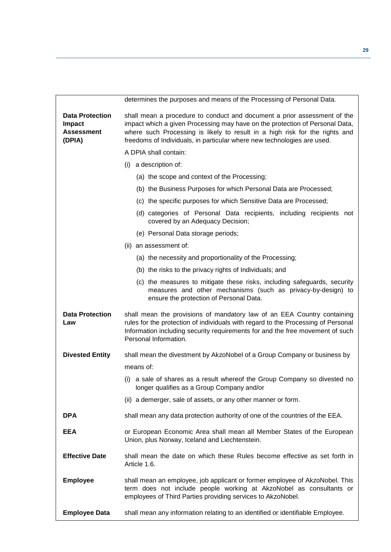|                                                                 | determines the purposes and means of the Processing of Personal Data.                                                                                                                                                                                                                                              |  |
|-----------------------------------------------------------------|--------------------------------------------------------------------------------------------------------------------------------------------------------------------------------------------------------------------------------------------------------------------------------------------------------------------|--|
| <b>Data Protection</b><br>Impact<br><b>Assessment</b><br>(DPIA) | shall mean a procedure to conduct and document a prior assessment of the<br>impact which a given Processing may have on the protection of Personal Data,<br>where such Processing is likely to result in a high risk for the rights and<br>freedoms of Individuals, in particular where new technologies are used. |  |
|                                                                 | A DPIA shall contain:                                                                                                                                                                                                                                                                                              |  |
|                                                                 | (i) a description of:                                                                                                                                                                                                                                                                                              |  |
|                                                                 | (a) the scope and context of the Processing;                                                                                                                                                                                                                                                                       |  |
|                                                                 | (b) the Business Purposes for which Personal Data are Processed;                                                                                                                                                                                                                                                   |  |
|                                                                 | (c) the specific purposes for which Sensitive Data are Processed;                                                                                                                                                                                                                                                  |  |
|                                                                 | (d) categories of Personal Data recipients, including recipients not<br>covered by an Adequacy Decision;                                                                                                                                                                                                           |  |
|                                                                 | (e) Personal Data storage periods;                                                                                                                                                                                                                                                                                 |  |
|                                                                 | (ii) an assessment of:                                                                                                                                                                                                                                                                                             |  |
|                                                                 | (a) the necessity and proportionality of the Processing;                                                                                                                                                                                                                                                           |  |
|                                                                 | (b) the risks to the privacy rights of Individuals; and                                                                                                                                                                                                                                                            |  |
|                                                                 | (c) the measures to mitigate these risks, including safeguards, security<br>measures and other mechanisms (such as privacy-by-design) to<br>ensure the protection of Personal Data.                                                                                                                                |  |
| <b>Data Protection</b><br>Law                                   | shall mean the provisions of mandatory law of an EEA Country containing<br>rules for the protection of individuals with regard to the Processing of Personal<br>Information including security requirements for and the free movement of such<br>Personal Information.                                             |  |
| <b>Divested Entity</b>                                          | shall mean the divestment by AkzoNobel of a Group Company or business by                                                                                                                                                                                                                                           |  |
|                                                                 | means of:                                                                                                                                                                                                                                                                                                          |  |
|                                                                 | (i) a sale of shares as a result whereof the Group Company so divested no<br>longer qualifies as a Group Company and/or                                                                                                                                                                                            |  |
|                                                                 | (ii) a demerger, sale of assets, or any other manner or form.                                                                                                                                                                                                                                                      |  |
| <b>DPA</b>                                                      | shall mean any data protection authority of one of the countries of the EEA.                                                                                                                                                                                                                                       |  |
| <b>EEA</b>                                                      | or European Economic Area shall mean all Member States of the European<br>Union, plus Norway, Iceland and Liechtenstein.                                                                                                                                                                                           |  |
| <b>Effective Date</b>                                           | shall mean the date on which these Rules become effective as set forth in<br>Article 1.6.                                                                                                                                                                                                                          |  |
| <b>Employee</b>                                                 | shall mean an employee, job applicant or former employee of AkzoNobel. This<br>term does not include people working at AkzoNobel as consultants or<br>employees of Third Parties providing services to AkzoNobel.                                                                                                  |  |
| <b>Employee Data</b>                                            | shall mean any information relating to an identified or identifiable Employee.                                                                                                                                                                                                                                     |  |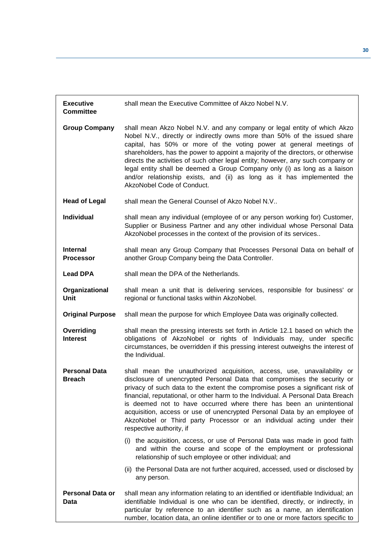| <b>Executive</b><br><b>Committee</b>  | shall mean the Executive Committee of Akzo Nobel N.V.                                                                                                                                                                                                                                                                                                                                                                                                                                                                                                                                     |
|---------------------------------------|-------------------------------------------------------------------------------------------------------------------------------------------------------------------------------------------------------------------------------------------------------------------------------------------------------------------------------------------------------------------------------------------------------------------------------------------------------------------------------------------------------------------------------------------------------------------------------------------|
| <b>Group Company</b>                  | shall mean Akzo Nobel N.V. and any company or legal entity of which Akzo<br>Nobel N.V., directly or indirectly owns more than 50% of the issued share<br>capital, has 50% or more of the voting power at general meetings of<br>shareholders, has the power to appoint a majority of the directors, or otherwise<br>directs the activities of such other legal entity; however, any such company or<br>legal entity shall be deemed a Group Company only (i) as long as a liaison<br>and/or relationship exists, and (ii) as long as it has implemented the<br>AkzoNobel Code of Conduct. |
| <b>Head of Legal</b>                  | shall mean the General Counsel of Akzo Nobel N.V                                                                                                                                                                                                                                                                                                                                                                                                                                                                                                                                          |
| <b>Individual</b>                     | shall mean any individual (employee of or any person working for) Customer,<br>Supplier or Business Partner and any other individual whose Personal Data<br>AkzoNobel processes in the context of the provision of its services                                                                                                                                                                                                                                                                                                                                                           |
| <b>Internal</b><br><b>Processor</b>   | shall mean any Group Company that Processes Personal Data on behalf of<br>another Group Company being the Data Controller.                                                                                                                                                                                                                                                                                                                                                                                                                                                                |
| <b>Lead DPA</b>                       | shall mean the DPA of the Netherlands.                                                                                                                                                                                                                                                                                                                                                                                                                                                                                                                                                    |
| Organizational<br>Unit                | shall mean a unit that is delivering services, responsible for business' or<br>regional or functional tasks within AkzoNobel.                                                                                                                                                                                                                                                                                                                                                                                                                                                             |
| <b>Original Purpose</b>               | shall mean the purpose for which Employee Data was originally collected.                                                                                                                                                                                                                                                                                                                                                                                                                                                                                                                  |
| Overriding<br><b>Interest</b>         | shall mean the pressing interests set forth in Article 12.1 based on which the<br>obligations of AkzoNobel or rights of Individuals may, under specific<br>circumstances, be overridden if this pressing interest outweighs the interest of<br>the Individual.                                                                                                                                                                                                                                                                                                                            |
| <b>Personal Data</b><br><b>Breach</b> | shall mean the unauthorized acquisition, access, use, unavailability or<br>disclosure of unencrypted Personal Data that compromises the security or<br>privacy of such data to the extent the compromise poses a significant risk of<br>financial, reputational, or other harm to the Individual. A Personal Data Breach<br>is deemed not to have occurred where there has been an unintentional<br>acquisition, access or use of unencrypted Personal Data by an employee of<br>AkzoNobel or Third party Processor or an individual acting under their<br>respective authority, if       |
|                                       | (i) the acquisition, access, or use of Personal Data was made in good faith<br>and within the course and scope of the employment or professional<br>relationship of such employee or other individual; and                                                                                                                                                                                                                                                                                                                                                                                |
|                                       | (ii) the Personal Data are not further acquired, accessed, used or disclosed by<br>any person.                                                                                                                                                                                                                                                                                                                                                                                                                                                                                            |
| <b>Personal Data or</b><br>Data       | shall mean any information relating to an identified or identifiable Individual; an<br>identifiable Individual is one who can be identified, directly, or indirectly, in<br>particular by reference to an identifier such as a name, an identification<br>number, location data, an online identifier or to one or more factors specific to                                                                                                                                                                                                                                               |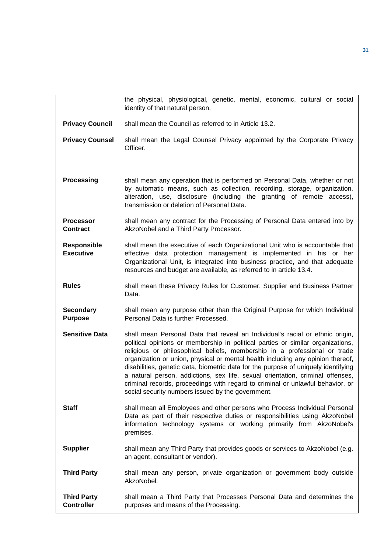|                                         | the physical, physiological, genetic, mental, economic, cultural or social<br>identity of that natural person.                                                                                                                                                                                                                                                                                                                                                                                                                                                                                                                                  |
|-----------------------------------------|-------------------------------------------------------------------------------------------------------------------------------------------------------------------------------------------------------------------------------------------------------------------------------------------------------------------------------------------------------------------------------------------------------------------------------------------------------------------------------------------------------------------------------------------------------------------------------------------------------------------------------------------------|
| <b>Privacy Council</b>                  | shall mean the Council as referred to in Article 13.2.                                                                                                                                                                                                                                                                                                                                                                                                                                                                                                                                                                                          |
| <b>Privacy Counsel</b>                  | shall mean the Legal Counsel Privacy appointed by the Corporate Privacy<br>Officer.                                                                                                                                                                                                                                                                                                                                                                                                                                                                                                                                                             |
| <b>Processing</b>                       | shall mean any operation that is performed on Personal Data, whether or not<br>by automatic means, such as collection, recording, storage, organization,<br>alteration, use, disclosure (including the granting of remote access),<br>transmission or deletion of Personal Data.                                                                                                                                                                                                                                                                                                                                                                |
| <b>Processor</b><br><b>Contract</b>     | shall mean any contract for the Processing of Personal Data entered into by<br>AkzoNobel and a Third Party Processor.                                                                                                                                                                                                                                                                                                                                                                                                                                                                                                                           |
| <b>Responsible</b><br><b>Executive</b>  | shall mean the executive of each Organizational Unit who is accountable that<br>effective data protection management is implemented in his or her<br>Organizational Unit, is integrated into business practice, and that adequate<br>resources and budget are available, as referred to in article 13.4.                                                                                                                                                                                                                                                                                                                                        |
| <b>Rules</b>                            | shall mean these Privacy Rules for Customer, Supplier and Business Partner<br>Data.                                                                                                                                                                                                                                                                                                                                                                                                                                                                                                                                                             |
| <b>Secondary</b><br><b>Purpose</b>      | shall mean any purpose other than the Original Purpose for which Individual<br>Personal Data is further Processed.                                                                                                                                                                                                                                                                                                                                                                                                                                                                                                                              |
| <b>Sensitive Data</b>                   | shall mean Personal Data that reveal an Individual's racial or ethnic origin,<br>political opinions or membership in political parties or similar organizations,<br>religious or philosophical beliefs, membership in a professional or trade<br>organization or union, physical or mental health including any opinion thereof,<br>disabilities, genetic data, biometric data for the purpose of uniquely identifying<br>a natural person, addictions, sex life, sexual orientation, criminal offenses,<br>criminal records, proceedings with regard to criminal or unlawful behavior, or<br>social security numbers issued by the government. |
| <b>Staff</b>                            | shall mean all Employees and other persons who Process Individual Personal<br>Data as part of their respective duties or responsibilities using AkzoNobel<br>information technology systems or working primarily from AkzoNobel's<br>premises.                                                                                                                                                                                                                                                                                                                                                                                                  |
| <b>Supplier</b>                         | shall mean any Third Party that provides goods or services to AkzoNobel (e.g.<br>an agent, consultant or vendor).                                                                                                                                                                                                                                                                                                                                                                                                                                                                                                                               |
| <b>Third Party</b>                      | shall mean any person, private organization or government body outside<br>AkzoNobel.                                                                                                                                                                                                                                                                                                                                                                                                                                                                                                                                                            |
| <b>Third Party</b><br><b>Controller</b> | shall mean a Third Party that Processes Personal Data and determines the<br>purposes and means of the Processing.                                                                                                                                                                                                                                                                                                                                                                                                                                                                                                                               |